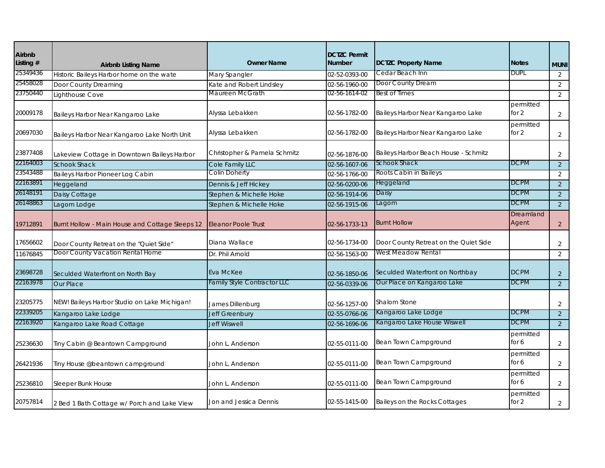| Airbnb<br>Listing # |                                                 | <b>Owner Name</b>                           | <b>DCTZC Permit</b><br><b>Number</b> | <b>DCTZC Property Name</b>            | <b>Notes</b>         |                |
|---------------------|-------------------------------------------------|---------------------------------------------|--------------------------------------|---------------------------------------|----------------------|----------------|
| 25349436            | <b>Airbnb Listing Name</b>                      |                                             |                                      | Cedar Beach Inn                       | <b>DUPL</b>          | <b>MUNI</b>    |
| 25458028            | Historic Baileys Harbor home on the wate        | Mary Spangler                               | 02-52-0393-00                        | Door County Dream                     |                      | 2              |
| 23750440            | Door County Dreaming                            | Kate and Robert Lindsley<br>Maureen McGrath | 02-56-1960-00<br>02-56-1614-02       | <b>Best of Times</b>                  |                      | 2              |
|                     | Lighthouse Cove                                 |                                             |                                      |                                       |                      | 2              |
| 20009178            | Baileys Harbor Near Kangaroo Lake               | Alyssa Lebakken                             | 02-56-1782-00                        | Baileys Harbor Near Kangaroo Lake     | permitted<br>for $2$ | 2              |
| 20697030            | Baileys Harbor Near Kangaroo Lake North Unit    | Alyssa Lebakken                             | 02-56-1782-00                        | Baileys Harbor Near Kangaroo Lake     | permitted<br>for $2$ | $\overline{2}$ |
| 23877408            | Lakeview Cottage in Downtown Baileys Harbor     | Christopher & Pamela Schmitz                | 02-56-1876-00                        | Baileys Harbor Beach House - Schmitz  |                      | 2              |
| 22164003            | <b>Schook Shack</b>                             | Cole Family LLC                             | 02-56-1607-06                        | <b>Schook Shack</b>                   | <b>DCPM</b>          | $\sqrt{2}$     |
| 23543488            | Baileys Harbor Pioneer Log Cabin                | Colin Doherty                               | 02-56-1766-00                        | Roots Cabin in Baileys                |                      | 2              |
| 22163891            | Heggeland                                       | Dennis & Jeff Hickey                        | 02-56-0200-06                        | Heggeland                             | <b>DCPM</b>          | 2              |
| 26148191            | Daisy Cottage                                   | Stephen & Michelle Hoke                     | 02-56-1914-06                        | Daisy                                 | <b>DCPM</b>          | 2              |
| 26148863            | Lagom Lodge                                     | Stephen & Michelle Hoke                     | 02-56-1915-06                        | Lagom                                 | <b>DCPM</b>          | 2              |
| 19712891            | Burnt Hollow - Main House and Cottage Sleeps 12 | <b>Eleanor Poole Trust</b>                  | 02-56-1733-13                        | <b>Burnt Hollow</b>                   | Dreamland<br>Agent   | $\overline{2}$ |
| 17656602            | Door County Retreat on the "Quiet Side"         | Diana Wallace                               | 02-56-1734-00                        | Door County Retreat on the Quiet Side |                      | 2              |
| 11676845            | Door County Vacation Rental Home                | Dr. Phil Arnold                             | 02-56-1563-00                        | West Meadow Rental                    |                      | 2              |
| 23698728            | Seculded Waterfront on North Bay                | Eva McKee                                   | 02-56-1850-06                        | Seculded Waterfront on Northbay       | <b>DCPM</b>          | 2              |
| 22163978            | <b>Our Place</b>                                | Family Style Contractor LLC                 | 02-56-0339-06                        | Our Place on Kangaroo Lake            | <b>DCPM</b>          | $\overline{2}$ |
| 23205775            | NEW! Baileys Harbor Studio on Lake Michigan!    | James Dillenburg                            | 02-56-1257-00                        | Shalom Stone                          |                      | 2              |
| 22339205            | Kangaroo Lake Lodge                             | <b>Jeff Greenbury</b>                       | 02-55-0766-06                        | Kangaroo Lake Lodge                   | <b>DCPM</b>          | $\overline{2}$ |
| 22163920            | Kangaroo Lake Road Cottage                      | <b>Jeff Wiswell</b>                         | 02-56-1696-06                        | Kangaroo Lake House Wiswell           | <b>DCPM</b>          | 2              |
| 25236630            | Tiny Cabin @ Beantown Campground                | John L. Anderson                            | 02-55-0111-00                        | Bean Town Campground                  | permitted<br>for 6   | $\overline{2}$ |
| 26421936            | Tiny House @beantown campground                 | John L. Anderson                            | 02-55-0111-00                        | Bean Town Campground                  | permitted<br>for 6   | $\overline{2}$ |
| 25236810            | Sleeper Bunk House                              | John L. Anderson                            | 02-55-0111-00                        | Bean Town Campground                  | permitted<br>for 6   | $\overline{2}$ |
| 20757814            | 2 Bed 1 Bath Cottage w/ Porch and Lake View     | Jon and Jessica Dennis                      | 02-55-1415-00                        | Baileys on the Rocks Cottages         | permitted<br>for $2$ | $\overline{2}$ |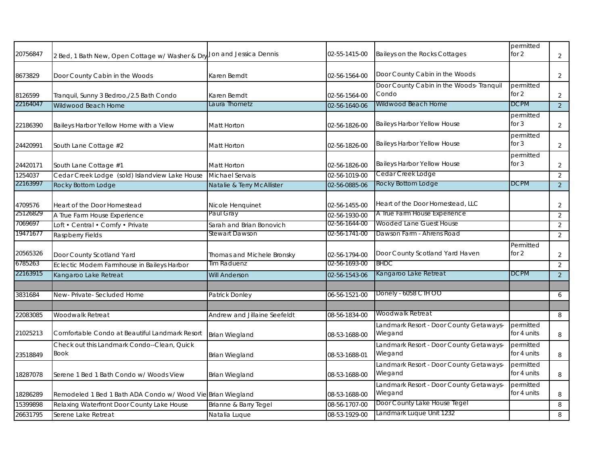| 20756847 | 2 Bed, 1 Bath New, Open Cottage w/ Washer & Dry             | Jon and Jessica Dennis       | 02-55-1415-00 | Baileys on the Rocks Cottages                      | permitted<br>for 2       | $\overline{2}$ |
|----------|-------------------------------------------------------------|------------------------------|---------------|----------------------------------------------------|--------------------------|----------------|
| 8673829  | Door County Cabin in the Woods                              | Karen Berndt                 | 02-56-1564-00 | Door County Cabin in the Woods                     |                          | 2              |
| 8126599  | Tranquil, Sunny 3 Bedroo,/2.5 Bath Condo                    | Karen Berndt                 | 02-56-1564-00 | Door County Cabin in the Woods- Tranquil<br>Condo  | permitted<br>for 2       | $\overline{2}$ |
| 22164047 | Wildwood Beach Home                                         | Laura Thometz                | 02-56-1640-06 | Wildwood Beach Home                                | <b>DCPM</b>              | 2              |
| 22186390 | Baileys Harbor Yellow Home with a View                      | Matt Horton                  | 02-56-1826-00 | <b>Baileys Harbor Yellow House</b>                 | permitted<br>for $3$     | $\overline{2}$ |
| 24420991 | South Lane Cottage #2                                       | Matt Horton                  | 02-56-1826-00 | <b>Baileys Harbor Yellow House</b>                 | permitted<br>for $3$     | 2              |
| 24420171 | South Lane Cottage #1                                       | <b>Matt Horton</b>           | 02-56-1826-00 | Baileys Harbor Yellow House                        | permitted<br>for $3$     | $\overline{2}$ |
| 1254037  | Cedar Creek Lodge (sold) Islandview Lake House              | <b>Michael Servais</b>       | 02-56-1019-00 | Cedar Creek Lodge                                  |                          | 2              |
| 22163997 | Rocky Bottom Lodge                                          | Natalie & Terry McAllister   | 02-56-0885-06 | Rocky Bottom Lodge                                 | <b>DCPM</b>              | $\overline{2}$ |
| 4709576  | Heart of the Door Homestead                                 | Nicole Henquinet             | 02-56-1455-00 | Heart of the Door Homestead, LLC                   |                          | 2              |
| 25126829 | A True Farm House Experience                                | Paul Gray                    | 02-56-1930-00 | A True Farm House Experience                       |                          | $\overline{2}$ |
| 7069697  | Loft • Central • Comfy • Private                            | Sarah and Brian Bonovich     | 02-56-1644-00 | Wooded Lane Guest House                            |                          | $\overline{2}$ |
| 19471677 | <b>Raspberry Fields</b>                                     | Stewart Dawson               | 02-56-1741-00 | Dawson Farm - Ahrens Road                          |                          | 2              |
| 20565326 | Door County Scotland Yard                                   | Thomas and Michele Bronsky   | 02-56-1794-00 | Door County Scotland Yard Haven                    | Permitted<br>for $2$     | $\overline{2}$ |
| 6785263  | Eclectic Modern Farmhouse in Baileys Harbor                 | Tim Raduenz                  | 02-56-1693-00 | BHDC                                               |                          | 2              |
| 22163915 | Kangaroo Lake Retreat                                       | <b>Will Anderson</b>         | 02-56-1543-06 | Kangaroo Lake Retreat                              | <b>DCPM</b>              | $\overline{2}$ |
|          |                                                             |                              |               |                                                    |                          |                |
| 3831684  | New-Private-Secluded Home                                   | Patrick Donley               | 06-56-1521-00 | Donely - 6058 CTH OO                               |                          | 6              |
| 22083085 | Woodwalk Retreat                                            | Andrew and Jillaine Seefeldt | 08-56-1834-00 | Woodwalk Retreat                                   |                          | 8              |
| 21025213 | Comfortable Condo at Beautiful Landmark Resort              | <b>Brian Wiegland</b>        | 08-53-1688-00 | Landmark Resort - Door County Getaways-<br>Wiegand | permitted<br>for 4 units | 8              |
| 23518849 | Check out this Landmark Condo--Clean, Quick<br><b>Book</b>  | <b>Brian Wiegland</b>        | 08-53-1688-01 | Landmark Resort - Door County Getaways-<br>Wiegand | permitted<br>for 4 units | 8              |
| 18287078 | Serene 1 Bed 1 Bath Condo w/ Woods View                     | <b>Brian Wiegland</b>        | 08-53-1688-00 | Landmark Resort - Door County Getaways-<br>Wiegand | permitted<br>for 4 units | 8              |
| 18286289 | Remodeled 1 Bed 1 Bath ADA Condo w/ Wood Vie Brian Wiegland |                              | 08-53-1688-00 | Landmark Resort - Door County Getaways-<br>Wiegand | permitted<br>for 4 units | 8              |
| 15399898 | Relaxing Waterfront Door County Lake House                  | Brianne & Barry Tegel        | 08-56-1707-00 | Door County Lake House Tegel                       |                          | 8              |
| 26631795 | Serene Lake Retreat                                         | Natalia Luque                | 08-53-1929-00 | Landmark Luque Unit 1232                           |                          | 8              |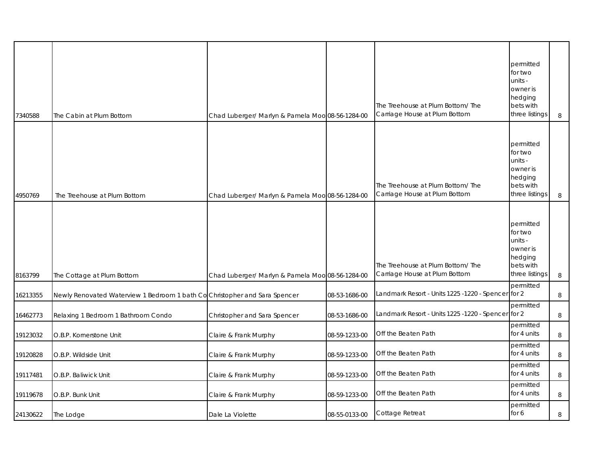| 7340588  | The Cabin at Plum Bottom                                                   | Chad Luberger/ Marlyn & Pamela Moo 08-56-1284-00 |               | The Treehouse at Plum Bottom/ The<br>Carriage House at Plum Bottom | permitted<br>for two<br>units -<br>owner is<br>hedging<br>bets with<br>three listings | 8      |
|----------|----------------------------------------------------------------------------|--------------------------------------------------|---------------|--------------------------------------------------------------------|---------------------------------------------------------------------------------------|--------|
| 4950769  | The Treehouse at Plum Bottom                                               | Chad Luberger/ Marlyn & Pamela Moo 08-56-1284-00 |               | The Treehouse at Plum Bottom/ The<br>Carriage House at Plum Bottom | permitted<br>for two<br>units -<br>owner is<br>hedging<br>bets with<br>three listings | 8      |
| 8163799  | The Cottage at Plum Bottom                                                 | Chad Luberger/ Marlyn & Pamela Moo 08-56-1284-00 |               | The Treehouse at Plum Bottom/ The<br>Carriage House at Plum Bottom | permitted<br>for two<br>units -<br>owner is<br>hedging<br>bets with<br>three listings | $\, 8$ |
| 16213355 | Newly Renovated Waterview 1 Bedroom 1 bath Co Christopher and Sara Spencer |                                                  | 08-53-1686-00 | Landmark Resort - Units 1225 -1220 - Spencer                       | permitted<br>for 2                                                                    | 8      |
| 16462773 | Relaxing 1 Bedroom 1 Bathroom Condo                                        | Christopher and Sara Spencer                     | 08-53-1686-00 | Landmark Resort - Units 1225 -1220 - Spencer for 2                 | permitted                                                                             | 8      |
| 19123032 | O.B.P. Kornerstone Unit                                                    | Claire & Frank Murphy                            | 08-59-1233-00 | Off the Beaten Path                                                | permitted<br>for 4 units                                                              | 8      |
| 19120828 | O.B.P. Wildside Unit                                                       | Claire & Frank Murphy                            | 08-59-1233-00 | Off the Beaten Path                                                | permitted<br>for 4 units                                                              | 8      |
| 19117481 | O.B.P. Baliwick Unit                                                       | Claire & Frank Murphy                            | 08-59-1233-00 | Off the Beaten Path                                                | permitted<br>for 4 units                                                              | 8      |
| 19119678 | O.B.P. Bunk Unit                                                           | Claire & Frank Murphy                            | 08-59-1233-00 | Off the Beaten Path                                                | permitted<br>for 4 units                                                              | 8      |
| 24130622 | The Lodge                                                                  | Dale La Violette                                 | 08-55-0133-00 | Cottage Retreat                                                    | permitted<br>for 6                                                                    | 8      |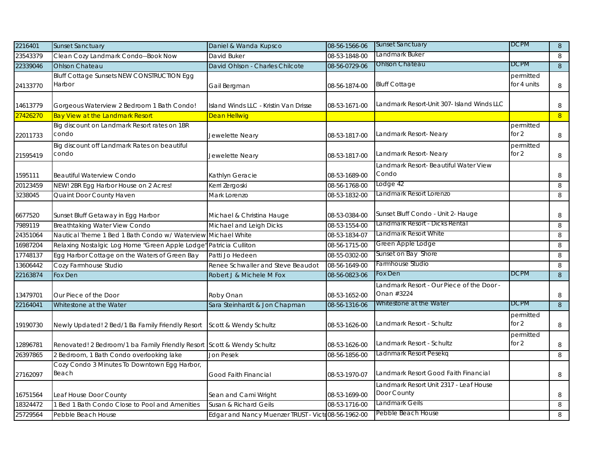| 2216401  | <b>Sunset Sanctuary</b>                                                | Daniel & Wanda Kupsco                              | 08-56-1566-06 | <b>Sunset Sanctuary</b>                                 | <b>DCPM</b>              | 8      |
|----------|------------------------------------------------------------------------|----------------------------------------------------|---------------|---------------------------------------------------------|--------------------------|--------|
| 23543379 | Clean Cozy Landmark Condo--Book Now                                    | David Buker                                        | 08-53-1848-00 | Landmark Buker                                          |                          | 8      |
| 22339046 | <b>Ohlson Chateau</b>                                                  | David Ohlson - Charles Chilcote                    | 08-56-0729-06 | Ohlson Chateau                                          | <b>DCPM</b>              | 8      |
| 24133770 | Bluff Cottage Sunsets NEW CONSTRUCTION Egg<br>Harbor                   | Gail Bergman                                       | 08-56-1874-00 | <b>Bluff Cottage</b>                                    | permitted<br>for 4 units | 8      |
| 14613779 | Gorgeous Waterview 2 Bedroom 1 Bath Condo!                             | Island Winds LLC - Kristin Van Drisse              | 08-53-1671-00 | Landmark Resort-Unit 307- Island Winds LLC              |                          | 8      |
| 27426270 | <b>Bay View at the Landmark Resort</b>                                 | <b>Dean Hellwig</b>                                |               |                                                         |                          | 8      |
| 22011733 | Big discount on Landmark Resort rates on 1BR<br>condo                  | Jewelette Neary                                    | 08-53-1817-00 | Landmark Resort- Neary                                  | permitted<br>for $2$     | 8      |
| 21595419 | Big discount off Landmark Rates on beautiful<br>condo                  | Jewelette Neary                                    | 08-53-1817-00 | Landmark Resort-Neary                                   | permitted<br>for $2$     | 8      |
| 1595111  | <b>Beautiful Waterview Condo</b>                                       | Kathlyn Geracie                                    | 08-53-1689-00 | Landmark Resort- Beautiful Water View<br>Condo          |                          | 8      |
| 20123459 | NEW! 2BR Egg Harbor House on 2 Acres!                                  | Kerri Zergoski                                     | 08-56-1768-00 | Lodge 42                                                |                          | 8      |
| 3238045  | Quaint Door County Haven                                               | Mark Lorenzo                                       | 08-53-1832-00 | Landmark Resort Lorenzo                                 |                          | 8      |
| 6677520  | Sunset Bluff Getaway in Egg Harbor                                     | Michael & Christina Hauge                          | 08-53-0384-00 | Sunset Bluff Condo - Unit 2- Hauge                      |                          | 8      |
| 7989119  | Breathtaking Water View Condo                                          | Michael and Leigh Dicks                            | 08-53-1554-00 | Landmark Resort - Dicks Rental                          |                          | 8      |
| 24351064 | Nautical Theme 1 Bed 1 Bath Condo w/ Waterview                         | <b>Michael White</b>                               | 08-53-1834-07 | Landmark Resort White                                   |                          | 8      |
| 16987204 | Relaxing Nostalgic Log Home "Green Apple Lodge"                        | Patricia Culliton                                  | 08-56-1715-00 | Green Apple Lodge                                       |                          | 8      |
| 17748137 | Egg Harbor Cottage on the Waters of Green Bay                          | Patti Jo Hedeen                                    | 08-55-0302-00 | Sunset on Bay Shore                                     |                          | 8      |
| 13606442 | Cozy Farmhouse Studio                                                  | Renee Schwaller and Steve Beaudot                  | 08-56-1649-00 | Farmhouse Studio                                        |                          | 8      |
| 22163874 | Fox Den                                                                | Robert J & Michele M Fox                           | 08-56-0823-06 | Fox Den                                                 | <b>DCPM</b>              | $\, 8$ |
| 13479701 | Our Piece of the Door                                                  | Roby Onan                                          | 08-53-1652-00 | -andmark Resort - Our Piece of the Door -<br>Onan #3224 |                          | 8      |
| 22164041 | Whitestone at the Water                                                | Sara Steinhardt & Jon Chapman                      | 08-56-1316-06 | Whitestone at the Water                                 | <b>DCPM</b>              | 8      |
| 19190730 | Newly Updated! 2 Bed/1 Ba Family Friendly Resort                       | Scott & Wendy Schultz                              | 08-53-1626-00 | Landmark Resort - Schultz                               | permitted<br>for $2$     | 8      |
| 12896781 | Renovated! 2 Bedroom/1 ba Family Friendly Resort Scott & Wendy Schultz |                                                    | 08-53-1626-00 | Landmark Resort - Schultz                               | permitted<br>for 2       | 8      |
| 26397865 | 2 Bedroom, 1 Bath Condo overlooking lake                               | Jon Pesek                                          | 08-56-1856-00 | Ladnmark Resort Pesekq                                  |                          | 8      |
| 27162097 | Cozy Condo 3 Minutes To Downtown Egg Harbor,<br>Beach                  | Good Faith Financial                               | 08-53-1970-07 | Landmark Resort Good Faith Financial                    |                          | 8      |
| 16751564 | Leaf House Door County                                                 | Sean and Cami Wright                               | 08-53-1699-00 | Landmark Resort Unit 2317 - Leaf House<br>Door County   |                          | 8      |
| 18324472 | 1 Bed 1 Bath Condo Close to Pool and Amenities                         | Susan & Richard Geils                              | 08-53-1716-00 | Landmark Geils                                          |                          | 8      |
| 25729564 | Pebble Beach House                                                     | Edgar and Nancy Muenzer TRUST - Victo08-56-1962-00 |               | Pebble Beach House                                      |                          | 8      |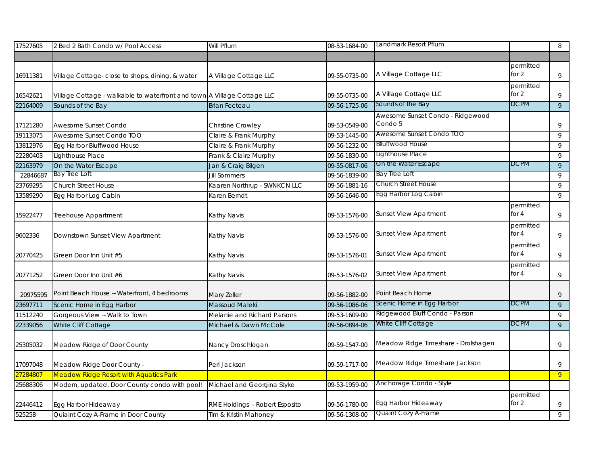| 17527605 | 2 Bed 2 Bath Condo w/ Pool Access                                       | Will Pflum                     | 08-53-1684-00 | Landmark Resort Pflum               |             | 8              |
|----------|-------------------------------------------------------------------------|--------------------------------|---------------|-------------------------------------|-------------|----------------|
|          |                                                                         |                                |               |                                     |             |                |
|          |                                                                         |                                |               |                                     | permitted   |                |
| 16911381 | Village Cottage- close to shops, dining, & water                        | A Village Cottage LLC          | 09-55-0735-00 | A Village Cottage LLC               | for 2       | $\,9$          |
|          |                                                                         |                                |               |                                     | permitted   |                |
| 16542621 | Village Cottage - walkable to waterfront and town A Village Cottage LLC |                                | 09-55-0735-00 | A Village Cottage LLC               | for $2$     | 9              |
| 22164009 | Sounds of the Bay                                                       | <b>Brian Fecteau</b>           | 09-56-1725-06 | Sounds of the Bay                   | <b>DCPM</b> | $\overline{9}$ |
|          |                                                                         |                                |               | Awesome Sunset Condo - Ridgewood    |             |                |
| 17121280 | Awesome Sunset Condo                                                    | Christine Crowley              | 09-53-0549-00 | Condo 5                             |             | 9              |
| 19113075 | Awesome Sunset Condo TOO                                                | Claire & Frank Murphy          | 09-53-1445-00 | Awesome Sunset Condo TOO            |             | 9              |
| 13812976 | Egg Harbor Bluffwood House                                              | Claire & Frank Murphy          | 09-56-1232-00 | Blluffwood House                    |             | 9              |
| 22280403 | Lighthouse Place                                                        | Frank & Claire Murphy          | 09-56-1830-00 | Lighthouse Place                    |             | 9              |
| 22163979 | On the Water Escape                                                     | Jan & Craig Bilgen             | 09-55-0817-06 | On the Water Escape                 | <b>DCPM</b> | 9              |
| 22846687 | <b>Bay Tree Loft</b>                                                    | <b>Jill Sommers</b>            | 09-56-1839-00 | <b>Bay Tree Loft</b>                |             | 9              |
| 23769295 | <b>Church Street House</b>                                              | Kaaren Northrup - SWNKCN LLC   | 09-56-1881-16 | <b>Church Street House</b>          |             | 9              |
| 13589290 | Egg Harbor Log Cabin                                                    | Karen Berndt                   | 09-56-1646-00 | Egg Harbor Log Cabin                |             | 9              |
|          |                                                                         |                                |               |                                     | permitted   |                |
| 15922477 | Treehouse Appartment                                                    | Kathy Navis                    | 09-53-1576-00 | <b>Sunset View Apartment</b>        | for $4$     | 9              |
|          |                                                                         |                                |               |                                     | permitted   |                |
| 9602336  | Downstown Sunset View Apartment                                         | Kathy Navis                    | 09-53-1576-00 | <b>Sunset View Apartment</b>        | for $4$     | 9              |
|          |                                                                         |                                |               |                                     | permitted   |                |
| 20770425 | Green Door Inn Unit #5                                                  | Kathy Navis                    | 09-53-1576-01 | Sunset View Apartment               | for $4$     | 9              |
|          |                                                                         |                                |               |                                     | permitted   |                |
| 20771252 | Green Door Inn Unit #6                                                  | Kathy Navis                    | 09-53-1576-02 | Sunset View Apartment               | for $4$     | 9              |
|          |                                                                         |                                |               |                                     |             |                |
| 20975595 | Point Beach House ~ Waterfront, 4 bedrooms                              | Mary Zeller                    | 09-56-1882-00 | Point Beach Home                    |             | 9              |
| 23697711 | Scenic Home in Egg Harbor                                               | Massoud Maleki                 | 09-56-1086-06 | Scenic Home in Egg Harbor           | <b>DCPM</b> | 9              |
| 11512240 | Gorgeous View ~ Walk to Town                                            | Melanie and Richard Parsons    | 09-53-1609-00 | Ridgewood Bluff Condo - Parson      |             | 9              |
| 22339056 | White Cliff Cottage                                                     | Michael & Dawn McCole          | 09-56-0894-06 | White Cliff Cottage                 | <b>DCPM</b> | $\mathsf{q}$   |
|          |                                                                         |                                |               |                                     |             |                |
| 25305032 | Meadow Ridge of Door County                                             | Nancy Droschlogan              | 09-59-1547-00 | Meadow Ridge Timeshare - Drolshagen |             | $\,9$          |
|          |                                                                         |                                |               |                                     |             |                |
| 17097048 | Meadow Ridge Door County -                                              | Peri Jackson                   | 09-59-1717-00 | Meadow Ridge Timeshare Jackson      |             | 9              |
| 27284807 | <b>Meadow Ridge Resort with Aquatics Park</b>                           |                                |               |                                     |             | 9              |
| 25688306 | Modern, updated, Door County condo with pool!                           | Michael and Georgina Styke     | 09-53-1959-00 | Anchorage Condo - Style             |             |                |
|          |                                                                         |                                |               |                                     | permitted   |                |
| 22446412 | Egg Harbor Hideaway                                                     | RME Holdings - Robert Esposito | 09-56-1780-00 | Egg Harbor Hideaway                 | for 2       | 9              |
| 525258   | Quiaint Cozy A-Frame in Door County                                     | Tim & Kristin Mahoney          | 09-56-1308-00 | Quaint Cozy A-Frame                 |             | $\overline{9}$ |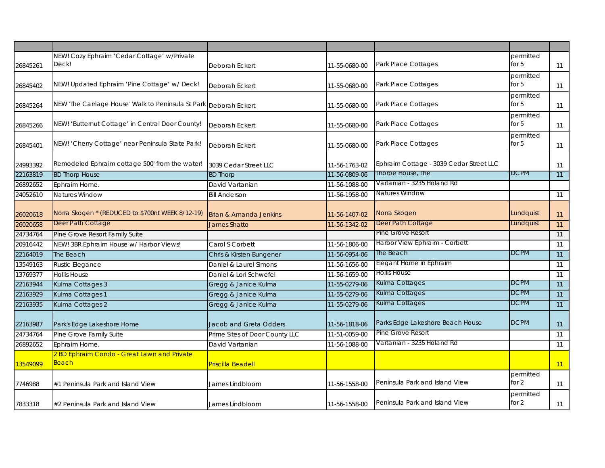| 26845261 | NEW! Cozy Ephraim 'Cedar Cottage' w/Private<br>Deck!              | Deborah Eckert                    | 11-55-0680-00 | Park Place Cottages                     | permitted<br>for $5$ | 11 |
|----------|-------------------------------------------------------------------|-----------------------------------|---------------|-----------------------------------------|----------------------|----|
| 26845402 | NEW! Updated Ephraim 'Pine Cottage' w/ Deck!                      | Deborah Eckert                    | 11-55-0680-00 | Park Place Cottages                     | permitted<br>for $5$ | 11 |
| 26845264 | NEW 'The Carriage House' Walk to Peninsula St Park Deborah Eckert |                                   | 11-55-0680-00 | Park Place Cottages                     | permitted<br>for $5$ | 11 |
| 26845266 | NEW! 'Butternut Cottage' in Central Door County!                  | Deborah Eckert                    | 11-55-0680-00 | Park Place Cottages                     | permitted<br>for $5$ | 11 |
| 26845401 | NEW! 'Cherry Cottage' near Peninsula State Park!                  | Deborah Eckert                    | 11-55-0680-00 | Park Place Cottages                     | permitted<br>for $5$ | 11 |
| 24993392 | Remodeled Ephraim cottage 500' from the water!                    | 3039 Cedar Street LLC             | 11-56-1763-02 | Ephraim Cottage - 3039 Cedar Street LLC |                      | 11 |
| 22163819 | <b>BD Thorp House</b>                                             | <b>BD Thorp</b>                   | 11-56-0809-06 | Ihorpe House, Ihe                       | <b>DCPM</b>          | 11 |
| 26892652 | Ephraim Home.                                                     | David Vartanian                   | 11-56-1088-00 | Vartanian - 3235 Holand Rd              |                      |    |
| 24052610 | Natures Window                                                    | <b>Bill Anderson</b>              | 11-56-1958-00 | Natures Window                          |                      | 11 |
| 26020618 | Norra Skogen * (REDUCED to \$700nt WEEK 8/12-19)                  | <b>Brian &amp; Amanda Jenkins</b> | 11-56-1407-02 | Norra Skogen                            | Lundquist            | 11 |
| 26020658 | Deer Path Cottage                                                 | <b>James Shatto</b>               | 11-56-1342-02 | Deer Path Cottage                       | Lundquist            | 11 |
| 24734764 | Pine Grove Resort Family Suite                                    |                                   |               | Pine Grove Resort                       |                      | 11 |
| 20916442 | NEW! 3BR Ephraim House w/ Harbor Views!                           | Carol S Corbett                   | 11-56-1806-00 | Harbor View Ephraim - Corbett           |                      | 11 |
| 22164019 | The Beach                                                         | Chris & Kirsten Bungener          | 11-56-0954-06 | The Beach                               | <b>DCPM</b>          | 11 |
| 13549163 | Rustic Elegance                                                   | Daniel & Laurel Simons            | 11-56-1656-00 | Elegant Home in Ephraim                 |                      | 11 |
| 13769377 | <b>Hollis House</b>                                               | Daniel & Lori Schwefel            | 11-56-1659-00 | <b>Hollis House</b>                     |                      | 11 |
| 22163944 | Kulma Cottages 3                                                  | Gregg & Janice Kulma              | 11-55-0279-06 | Kulma Cottages                          | <b>DCPM</b>          | 11 |
| 22163929 | Kulma Cottages 1                                                  | Gregg & Janice Kulma              | 11-55-0279-06 | Kulma Cottages                          | <b>DCPM</b>          | 11 |
| 22163935 | Kulma Cottages 2                                                  | Gregg & Janice Kulma              | 11-55-0279-06 | Kulma Cottages                          | <b>DCPM</b>          | 11 |
| 22163987 | Park's Edge Lakeshore Home                                        | Jacob and Greta Odders            | 11-56-1818-06 | Parks Edge Lakeshore Beach House        | <b>DCPM</b>          | 11 |
| 24734764 | Pine Grove Family Suite                                           | Prime Sites of Door County LLC    | 11-51-0059-00 | <b>Pine Grove Resort</b>                |                      | 11 |
| 26892652 | Ephraim Home.                                                     | David Vartanian                   | 11-56-1088-00 | Vartanian - 3235 Holand Rd              |                      | 11 |
| 13549099 | 2 BD Ephraim Condo - Great Lawn and Private<br>Beach              | <b>Priscilla Beadell</b>          |               |                                         |                      | 11 |
| 7746988  | #1 Peninsula Park and Island View                                 | James Lindbloom                   | 11-56-1558-00 | Peninsula Park and Island View          | permitted<br>for $2$ | 11 |
| 7833318  | #2 Peninsula Park and Island View                                 | James Lindbloom                   | 11-56-1558-00 | Peninsula Park and Island View          | permitted<br>for 2   | 11 |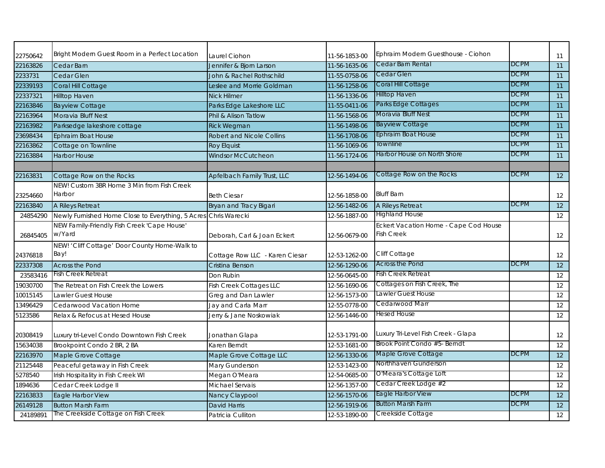| 22750642 | Bright Modern Guest Room in a Perfect Location                  | Laurel Ciohon                    | 11-56-1853-00 | Ephraim Modern Guesthouse - Ciohon    |             | 11              |
|----------|-----------------------------------------------------------------|----------------------------------|---------------|---------------------------------------|-------------|-----------------|
| 22163826 | Cedar Barn                                                      | Jennifer & Bjorn Larson          | 11-56-1635-06 | Cedar Barn Rental                     | <b>DCPM</b> | 11              |
| 2233731  | Cedar Glen                                                      | John & Rachel Rothschild         | 11-55-0758-06 | Cedar Glen                            | <b>DCPM</b> | 11              |
| 22339193 | Coral Hill Cottage                                              | Leslee and Morrie Goldman        | 11-56-1258-06 | Coral Hill Cottage                    | <b>DCPM</b> | 11              |
| 22337321 | <b>Hilltop Haven</b>                                            | <b>Nick Hilmer</b>               | 11-56-1336-06 | <b>Hilltop Haven</b>                  | <b>DCPM</b> | 11              |
| 22163846 | <b>Bayview Cottage</b>                                          | Parks Edge Lakeshore LLC         | 11-55-0411-06 | Parks Edge Cottages                   | <b>DCPM</b> | 11              |
| 22163964 | Moravia Bluff Nest                                              | Phil & Alison Tatlow             | 11-56-1568-06 | Moravia Bluff Nest                    | <b>DCPM</b> | 11              |
| 22163982 | Parksedge lakeshore cottage                                     | <b>Rick Wegman</b>               | 11-56-1498-06 | <b>Bayview Cottage</b>                | <b>DCPM</b> | 11              |
| 23698434 | Ephraim Boat House                                              | <b>Robert and Nicole Collins</b> | 11-56-1708-06 | <b>Ephraim Boat House</b>             | <b>DCPM</b> | 11              |
| 22163862 | Cottage on Townline                                             | <b>Roy Elquist</b>               | 11-56-1069-06 | Townline                              | <b>DCPM</b> | 11              |
| 22163884 | <b>Harbor House</b>                                             | <b>Windsor McCutcheon</b>        | 11-56-1724-06 | Harbor House on North Shore           | <b>DCPM</b> | 11              |
|          |                                                                 |                                  |               |                                       |             |                 |
| 22163831 | Cottage Row on the Rocks                                        | Apfelbach Family Trust, LLC      | 12-56-1494-06 | Cottage Row on the Rocks              | <b>DCPM</b> | 12              |
|          | NEW! Custom 3BR Home 3 Min from Fish Creek                      |                                  |               |                                       |             |                 |
| 23254660 | Harbor                                                          | <b>Beth Ciesar</b>               | 12-56-1858-00 | <b>Bluff Barn</b>                     |             | 12              |
| 22163840 | A Rileys Retreat                                                | Bryan and Tracy Bigari           | 12-56-1482-06 | A Rileys Retreat                      | <b>DCPM</b> | $\overline{12}$ |
| 24854290 | Newly Furnished Home Close to Everything, 5 Acres Chris Warecki |                                  | 12-56-1887-00 | <b>Highland House</b>                 |             | 12              |
|          | NEW Family-Friendly Fish Creek 'Cape House'                     |                                  |               | Eckert Vacation Home - Cape Cod House |             |                 |
| 26845405 | w/Yard                                                          | Deborah, Carl & Joan Eckert      | 12-56-0679-00 | Fish Creek                            |             | 12              |
|          | NEW! 'Cliff Cottage' Door County Home-Walk to                   |                                  |               |                                       |             |                 |
| 24376818 | Bay!                                                            | Cottage Row LLC - Karen Ciesar   | 12-53-1262-00 | Cliff Cottage                         |             | 12              |
| 22337308 | <b>Across the Pond</b>                                          | Cristina Benson                  | 12-56-1290-06 | <b>Across the Pond</b>                | <b>DCPM</b> | $\overline{12}$ |
| 23583416 | Fish Creek Retreat                                              | Don Rubin                        | 12-56-0645-00 | Fish Creek Retreat                    |             | 12              |
| 19030700 | The Retreat on Fish Creek the Lowers                            | <b>Fish Creek Cottages LLC</b>   | 12-56-1690-06 | Cottages on Fish Creek, The           |             | $\overline{12}$ |
| 10015145 | Lawler Guest House                                              | Greg and Dan Lawler              | 12-56-1573-00 | Lawler Guest House                    |             | 12              |
| 13496429 | Cedarwood Vacation Home                                         | Jay and Carla Marr               | 12-55-0778-00 | Cedarwood Marr                        |             | 12              |
| 5123586  | Relax & Refocus at Hesed House                                  | Jerry & Jane Noskowiak           | 12-56-1446-00 | Hesed House                           |             | 12              |
| 20308419 | Luxury tri-Level Condo Downtown Fish Creek                      | Jonathan Glapa                   | 12-53-1791-00 | Luxury Tri-Level Fish Creek - Glapa   |             | 12              |
| 15634038 | Brookpoint Condo 2 BR, 2 BA                                     | Karen Berndt                     | 12-53-1681-00 | Brook Point Condo #5- Berndt          |             | 12              |
| 22163970 | Maple Grove Cottage                                             | Maple Grove Cottage LLC          | 12-56-1330-06 | Maple Grove Cottage                   | <b>DCPM</b> | 12              |
| 21125448 | Peaceful getaway in Fish Creek                                  | Mary Gunderson                   | 12-53-1423-00 | Northhaven Gunderson                  |             | 12              |
| 5278540  | Irish Hospitality in Fish Creek WI                              | Megan O'Meara                    | 12-54-0685-00 | O'Meara's Cottage Loft                |             | 12              |
| 1894636  | Cedar Creek Lodge II                                            | Michael Servais                  | 12-56-1357-00 | Cedar Creek Lodge #2                  |             | 12              |
| 22163833 | Eagle Harbor View                                               | Nancy Claypool                   | 12-56-1570-06 | Eagle Harbor View                     | <b>DCPM</b> | 12              |
| 26149128 | <b>Button Marsh Farm</b>                                        | David Harris                     | 12-56-1919-06 | <b>Button Marsh Farm</b>              | <b>DCPM</b> | 12              |
| 24189891 | The Creekside Cottage on Fish Creek                             | Patricia Culliton                | 12-53-1890-00 | Creekside Cottage                     |             | 12              |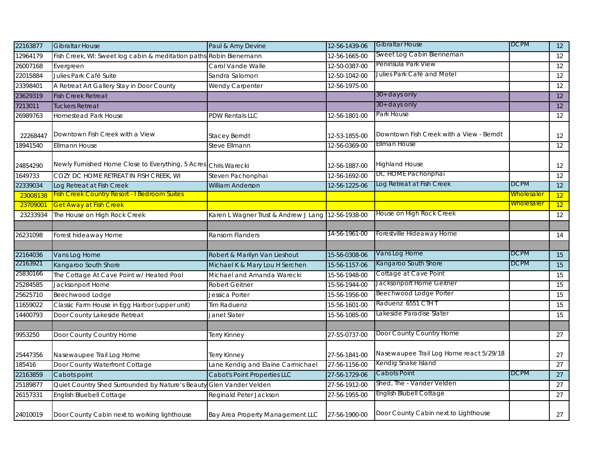| 22163877             | <b>Gibraltar House</b>                                              | Paul & Amy Devine                    | 12-56-1439-06                  | <b>Gibraltar House</b>                      | <b>DCPM</b>       | 12              |
|----------------------|---------------------------------------------------------------------|--------------------------------------|--------------------------------|---------------------------------------------|-------------------|-----------------|
| 12964179             | Fish Creek, WI: Sweet log cabin & meditation paths Robin Bienemann  |                                      | 12-56-1665-00                  | Sweet Log Cabin Bienneman                   |                   | 12              |
| 26007168             | Evergreen                                                           | Carol Vande Walle                    | 12-50-0387-00                  | Peninsula Park View                         |                   | 12              |
| 22015884             | Julies Park Café Suite                                              | Sandra Salomon                       | 12-50-1042-00                  | Julies Park Café and Motel                  |                   | 12              |
| 23398401             | A Retreat Art Gallery Stay in Door County                           | Wendy Carpenter                      | 12-56-1975-00                  |                                             |                   | 12              |
| 23629319             | <b>Fish Creek Retreat</b>                                           |                                      |                                | 30+ days only                               |                   | 12              |
| 7213011              | Tuckers Retreat                                                     |                                      |                                | 30+ days only                               |                   | 12              |
| 26989763             | <b>Homestead Park House</b>                                         | PDW Rentals LLC                      | 12-56-1801-00                  | Park House                                  |                   | 12              |
| 22268447             | Downtown Fish Creek with a View                                     | Stacey Berndt                        | 12-53-1855-00                  | Downtown Fish Creek with a View - Berndt    |                   | 12              |
| 18941540             | <b>Ellmann House</b>                                                | Steve Ellmann                        | 12-56-0369-00                  | Ellman House                                |                   | 12              |
| 24854290             | Newly Furnished Home Close to Everything, 5 Acres Chris Warecki     |                                      | 12-56-1887-00                  | <b>Highland House</b><br>DC HOME Pachonphai |                   | 12              |
| 1649733              | COZY DC HOME RETREAT IN FISH CREEK, WI                              | Steven Pachonphai                    | 12-56-1692-00                  |                                             |                   | 12              |
| 22339034             | Log Retreat at Fish Creek                                           | William Anderson                     | 12-56-1225-06                  | Log Retreat at Fish Creek                   | <b>DCPM</b>       | 12              |
| 23008138             | Fish Creek Country Resort - I Bedroom Suites                        |                                      |                                |                                             | Wholesaler        | 12              |
| 23709001             | <b>Get Away at Fish Creek</b>                                       |                                      |                                |                                             | <b>Wholesaler</b> | 12              |
| 23233934             | The House on High Rock Creek                                        | Karen L Wagner Trust & Andrew J Lang | 12-56-1938-00                  | House on High Rock Creek                    |                   | 12              |
|                      |                                                                     |                                      | 14-56-1961-00                  | Forestville Hideaway Home                   |                   |                 |
| 26231098             | Forest hideaway Home                                                | Ransom Flanders                      |                                |                                             |                   | 14              |
|                      |                                                                     |                                      |                                | Vans Log Home                               | <b>DCPM</b>       |                 |
| 22164036<br>22163921 | Vans Log Home                                                       | Robert & Marilyn Van Lieshout        | 15-56-0308-06                  | Kangaroo South Shore                        | <b>DCPM</b>       | 15              |
| 25830166             | Kangaroo South Shore                                                | Michael K & Mary Lou H Serchen       | 15-56-1157-06                  | Cottage at Cave Point                       |                   | 15              |
| 25284585             | The Cottage At Cave Point w/ Heated Pool<br>Jacksonport Home        | Michael and Amanda Warecki           | 15-56-1948-00<br>15-56-1944-00 | Jacksonport Home Geitner                    |                   | 15<br>15        |
| 25625710             | Beechwood Lodge                                                     | Robert Geitner                       | 15-56-1956-00                  | Beechwood Lodge Porter                      |                   | 15              |
| 11659022             | Classic Farm House in Egg Harbor (upper unit)                       | Jessica Porter                       | 15-56-1601-00                  | Raduenz 6551 CTH T                          |                   | 15              |
| 14400793             | Door County Lakeside Retreat                                        | <b>Tim Raduenz</b>                   |                                | Lakeside Paradise Slater                    |                   |                 |
|                      |                                                                     | Janet Slater                         | 15-56-1085-00                  |                                             |                   | 15              |
| 9953250              | Door County Country Home                                            |                                      | 27-55-0737-00                  | Door County Country Home                    |                   | 27              |
|                      |                                                                     | Terry Kinney                         |                                |                                             |                   |                 |
| 25447356             | Nasewaupee Trail Log Home                                           | Terry Kinney                         | 27-56-1841-00                  | Nasewaupee Trail Log Home react 5/29/18     |                   | 27              |
| 185416               | Door County Waterfront Cottage                                      | ane Kendig and Elaine Carmichael     | 27-56-1156-00                  | Kendig Snake Island                         |                   | $\overline{27}$ |
| 22163859             | Cabots point                                                        | <b>Cabot's Point Properties LLC</b>  | 27-56-1729-06                  | Cabots Point                                | <b>DCPM</b>       | 27              |
| 25189877             | Quiet Country Shed Surrounded by Nature's Beauty Glen Vander Velden |                                      | 27-56-1912-00                  | Shed, The - Vander Velden                   |                   | 27              |
| 26157331             | English Bluebell Cottage                                            | Reginald Peter Jackson               | 27-56-1955-00                  | English Blubell Cottage                     |                   | 27              |
| 24010019             | Door County Cabin next to working lighthouse                        | Bay Area Property Management LLC     | 27-56-1900-00                  | Door County Cabin next to Lighthouse        |                   | 27              |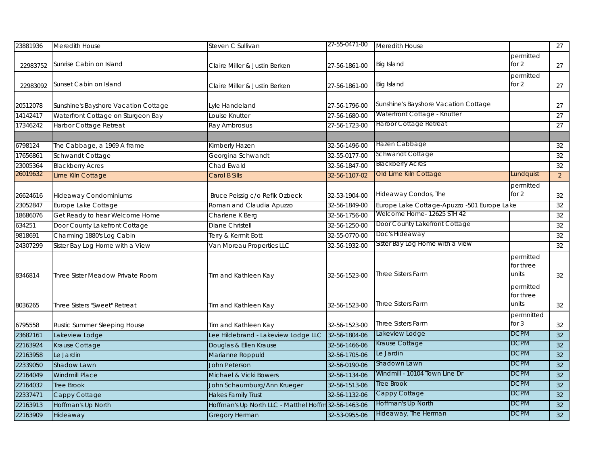| 23881936 | Meredith House                       | Steven C Sullivan                                    | 27-55-0471-00 | Meredith House                              |                                 | $\overline{27}$ |
|----------|--------------------------------------|------------------------------------------------------|---------------|---------------------------------------------|---------------------------------|-----------------|
| 22983752 | Sunrise Cabin on Island              | Claire Miller & Justin Berken                        | 27-56-1861-00 | <b>Big Island</b>                           | permitted<br>for $2$            | 27              |
| 22983092 | Sunset Cabin on Island               | Claire Miller & Justin Berken                        | 27-56-1861-00 | <b>Big Island</b>                           | permitted<br>for 2              | 27              |
| 20512078 | Sunshine's Bayshore Vacation Cottage | Lyle Handeland                                       | 27-56-1796-00 | Sunshine's Bayshore Vacation Cottage        |                                 | 27              |
| 14142417 | Waterfront Cottage on Sturgeon Bay   | Louise Knutter                                       | 27-56-1680-00 | Waterfront Cottage - Knutter                |                                 | 27              |
| 17346242 | Harbor Cottage Retreat               | Ray Ambrosius                                        | 27-56-1723-00 | Harbor Cottage Retreat                      |                                 | 27              |
|          |                                      |                                                      |               |                                             |                                 |                 |
| 6798124  | The Cabbage, a 1969 A frame          | Kimberly Hazen                                       | 32-56-1496-00 | Hazen Cabbage                               |                                 | 32              |
| 17656861 | Schwandt Cottage                     | Georgina Schwandt                                    | 32-55-0177-00 | Schwandt Cottage                            |                                 | 32              |
| 23005364 | <b>Blackberry Acres</b>              | Chad Ewald                                           | 32-56-1847-00 | <b>Blackberry Acres</b>                     |                                 | 32              |
| 26019632 | Lime Kiln Cottage                    | <b>Carol B Sills</b>                                 | 32-56-1107-02 | Old Lime Kiln Cottage                       | Lundquist                       | $\overline{2}$  |
| 26624616 | <b>Hideaway Condominiums</b>         | Bruce Peissig c/o Refik Ozbeck                       | 32-53-1904-00 | Hideaway Condos, The                        | permitted<br>for 2              | $32\,$          |
| 23052847 | Europe Lake Cottage                  | Roman and Claudia Apuzzo                             | 32-56-1849-00 | Europe Lake Cottage-Apuzzo -501 Europe Lake |                                 | 32              |
| 18686076 | Get Ready to hear Welcome Home       | Charlene K Berg                                      | 32-56-1756-00 | Welcome Home- 12625 STH 42                  |                                 | 32              |
| 634251   | Door County Lakefront Cottage        | Diane Christell                                      | 32-56-1250-00 | Door County Lakefront Cottage               |                                 | 32              |
| 9818691  | Charming 1880's Log Cabin            | Terry & Kermit Bott                                  | 32-55-0770-00 | Doc's Hideaway                              |                                 | 32              |
| 24307299 | Sister Bay Log Home with a View      | Van Moreau Properties LLC                            | 32-56-1932-00 | Sister Bay Log Home with a view             |                                 | 32              |
| 8346814  | Three Sister Meadow Private Room     | Tim and Kathleen Kay                                 | 32-56-1523-00 | Three Sisters Farm                          | permitted<br>for three<br>units | 32              |
| 8036265  | Three Sisters "Sweet" Retreat        | Tim and Kathleen Kay                                 | 32-56-1523-00 | Three Sisters Farm                          | permitted<br>for three<br>units | 32              |
| 6795558  | Rustic Summer Sleeping House         | Tim and Kathleen Kay                                 | 32-56-1523-00 | Three Sisters Farm                          | permnitted<br>for $3$           | 32              |
| 23682161 | Lakeview Lodge                       | Lee Hildebrand - Lakeview Lodge LLC                  | 32-56-1804-06 | Lakeview Lodge                              | <b>DCPM</b>                     | 32              |
| 22163924 | Krause Cottage                       | Douglas & Ellen Krause                               | 32-56-1466-06 | Krause Cottage                              | <b>DCPM</b>                     | 32              |
| 22163958 | Le Jardin                            | Marianne Roppuld                                     | 32-56-1705-06 | Le Jardin                                   | <b>DCPM</b>                     | 32              |
| 22339050 | Shadow Lawn                          | <b>John Peterson</b>                                 | 32-56-0190-06 | Shadown Lawn                                | <b>DCPM</b>                     | 32              |
| 22164049 | <b>Windmill Place</b>                | Michael & Vicki Bowers                               | 32-56-1134-06 | Windmill - 10104 Town Line Dr               | <b>DCPM</b>                     | 32              |
| 22164032 | <b>Tree Brook</b>                    | John Schaumburg/Ann Krueger                          | 32-56-1513-06 | Tree Brook                                  | <b>DCPM</b>                     | 32              |
| 22337471 | Cappy Cottage                        | <b>Hakes Family Trust</b>                            | 32-56-1132-06 | Cappy Cottage                               | <b>DCPM</b>                     | 32              |
| 22163913 | Hoffman's Up North                   | Hoffman's Up North LLC - Matthel Hoffm 32-56-1463-06 |               | Hoffman's Up North                          | <b>DCPM</b>                     | 32              |
| 22163909 | Hideaway                             | <b>Gregory Herman</b>                                | 32-53-0955-06 | Hideaway, The Herman                        | <b>DCPM</b>                     | 32              |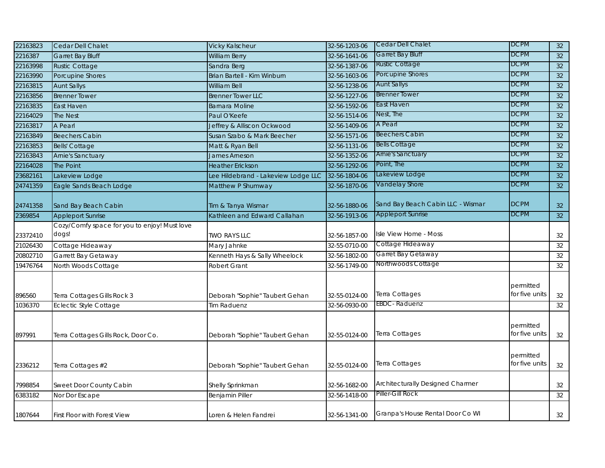| 22163823          | Cedar Dell Chalet                                            | <b>Vicky Kalscheur</b>                               | 32-56-1203-06                  | Cedar Dell Chalet                 | <b>DCPM</b>                 | 32       |
|-------------------|--------------------------------------------------------------|------------------------------------------------------|--------------------------------|-----------------------------------|-----------------------------|----------|
| 2216387           | <b>Garret Bay Bluff</b>                                      | <b>William Berry</b>                                 | 32-56-1641-06                  | Garret Bay Bluff                  | <b>DCPM</b>                 | 32       |
| 22163998          | <b>Rustic Cottage</b>                                        | Sandra Berg                                          | 32-56-1387-06                  | <b>Rustic Cottage</b>             | <b>DCPM</b>                 | 32       |
| 22163990          | Porcupine Shores                                             | Brian Bartell - Kim Winburn                          | 32-56-1603-06                  | Porcupine Shores                  | <b>DCPM</b>                 | 32       |
| 22163815          | <b>Aunt Sallys</b>                                           | <b>William Bell</b>                                  | 32-56-1238-06                  | <b>Aunt Sallys</b>                | <b>DCPM</b>                 | 32       |
| 22163856          | <b>Brenner Tower</b>                                         | <b>Brenner Tower LLC</b>                             | 32-56-1227-06                  | Brenner Tower                     | <b>DCPM</b>                 | 32       |
| 22163835          | East Haven                                                   | <b>Barnara Moline</b>                                | 32-56-1592-06                  | East Haven                        | <b>DCPM</b>                 | 32       |
| 22164029          | The Nest                                                     | Paul O'Keefe                                         | 32-56-1514-06                  | Nest, The                         | <b>DCPM</b>                 | 32       |
| 22163817          | A Pearl                                                      | Jeffrey & Alliscon Ockwood                           | 32-56-1409-06                  | A Pearl                           | <b>DCPM</b>                 | 32       |
| 22163849          | <b>Beechers Cabin</b>                                        | Susan Szabo & Mark Beecher                           | 32-56-1571-06                  | Beechers Cabin                    | <b>DCPM</b>                 | 32       |
| 22163853          | <b>Bells' Cottage</b>                                        | Matt & Ryan Bell                                     | 32-56-1131-06                  | <b>Bells Cottage</b>              | <b>DCPM</b>                 | 32       |
| 22163843          | <b>Arnie's Sanctuary</b>                                     | James Arneson                                        | 32-56-1352-06                  | Arnie's Sanctuary                 | <b>DCPM</b>                 | 32       |
| 22164028          | The Point                                                    | <b>Heather Erickson</b>                              | 32-56-1292-06                  | Point, The                        | <b>DCPM</b>                 | 32       |
| 23682161          | Lakeview Lodge                                               | Lee Hildebrand - Lakeview Lodge LLC                  | 32-56-1804-06                  | Lakeview Lodge                    | <b>DCPM</b>                 | 32       |
| 24741359          | Eagle Sands Beach Lodge                                      | Matthew P Shumway                                    | 32-56-1870-06                  | Vandelay Shore                    | <b>DCPM</b>                 | 32       |
| 24741358          | Sand Bay Beach Cabin                                         | Tim & Tanya Wismar                                   | 32-56-1880-06                  | Sand Bay Beach Cabin LLC - Wismar | <b>DCPM</b>                 | 32       |
| 2369854           | <b>Appleport Sunrise</b>                                     | Kathleen and Edward Callahan                         | 32-56-1913-06                  | <b>Appleport Sunrise</b>          | <b>DCPM</b>                 | 32       |
|                   | Cozy/Comfy space for you to enjoy! Must love                 |                                                      |                                |                                   |                             |          |
| 23372410          | dogs!                                                        | <b>TWO RAYS LLC</b>                                  | 32-56-1857-00                  | Isle View Home - Moss             |                             | 32       |
| 21026430          | Cottage Hideaway                                             | Mary Jahnke                                          | 32-55-0710-00                  | Cottage Hideaway                  |                             | $32\,$   |
| 20802710          | Garrett Bay Getaway                                          | Kenneth Hays & Sally Wheelock                        | 32-56-1802-00                  | Garret Bay Getaway                |                             | $32\,$   |
| 19476764          | North Woods Cottage                                          | <b>Robert Grant</b>                                  | 32-56-1749-00                  | Northwoods Cottage                |                             | 32       |
| 896560<br>1036370 | Terra Cottages Gills Rock 3<br><b>Eclectic Style Cottage</b> | Deborah "Sophie" Taubert Gehan<br><b>Tim Raduenz</b> | 32-55-0124-00<br>32-56-0930-00 | Terra Cottages<br>EBDC-Raduenz    | permitted<br>for five units | 32<br>32 |
|                   |                                                              |                                                      |                                |                                   |                             |          |
| 897991            | Terra Cottages Gills Rock, Door Co.                          | Deborah "Sophie" Taubert Gehan                       | 32-55-0124-00                  | Terra Cottages                    | permitted<br>for five units | 32       |
| 2336212           | Terra Cottages #2                                            | Deborah "Sophie" Taubert Gehan                       | 32-55-0124-00                  | Terra Cottages                    | permitted<br>for five units | 32       |
| 7998854           | Sweet Door County Cabin                                      | Shelly Sprinkman                                     | 32-56-1682-00                  | Architecturally Designed Charmer  |                             | 32       |
| 6383182           | Nor Dor Escape                                               | <b>Benjamin Piller</b>                               | 32-56-1418-00                  | Piller-Gill Rock                  |                             | 32       |
| 1807644           | <b>First Floor with Forest View</b>                          | Loren & Helen Fandrei                                | 32-56-1341-00                  | Granpa's House Rental Door Co WI  |                             | 32       |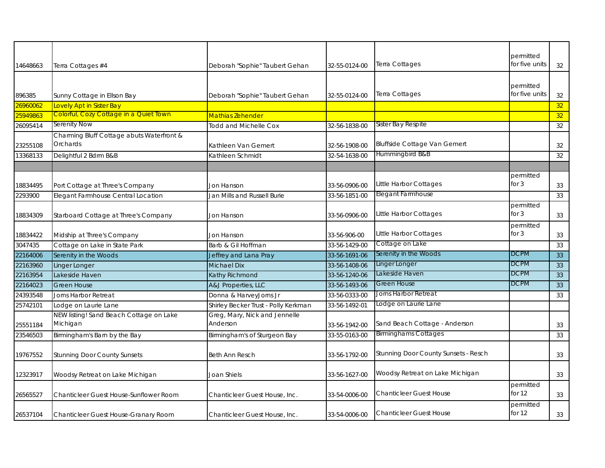| permitted<br>Terra Cottages<br>for five units<br>Terra Cottages #4<br>32-55-0124-00<br>32<br>Deborah "Sophie" Taubert Gehan<br>permitted<br>Terra Cottages<br>for five units<br>Sunny Cottage in Ellson Bay<br>32<br>Deborah "Sophie" Taubert Gehan<br>32-55-0124-00<br>26960062<br>Lovely Apt in Sister Bay<br>32<br>Colorful, Cozy Cottage in a Quiet Town<br>25949863<br>Mathias Zehender<br>32<br>Serenity Now<br>Sister Bay Respite<br><b>Todd and Michelle Cox</b><br>32-56-1838-00<br>32<br>Charming Bluff Cottage abuts Waterfront &<br><b>Bluffside Cottage Van Gemert</b><br>Orchards<br>Kathleen Van Gemert<br>32-56-1908-00<br>32<br>Hummingbird B&B<br>Delightful 2 Bdrm B&B<br>Kathleen Schmidt<br>32-54-1638-00<br>32<br>permitted<br>Little Harbor Cottages<br>for $3$<br>Port Cottage at Three's Company<br>33-56-0906-00<br>33<br><b>Jon Hanson</b><br>Elegant Farmhouse<br>Elegant Farmhouse Central Location<br>Jan Mills and Russell Burie<br>33-56-1851-00<br>33<br>permitted<br>Little Harbor Cottages<br>for $3$<br>Starboard Cottage at Three's Company<br>33-56-0906-00<br>33<br>Jon Hanson<br>permitted<br>Little Harbor Cottages<br>for $3$<br>Midship at Three's Company<br>33-56-906-00<br>33<br>Jon Hanson<br>Cottage on Lake<br>Cottage on Lake in State Park<br>Barb & Gil Hoffman<br>33-56-1429-00<br>33<br>Serenity in the Woods<br>DCPM<br>Serenity in the Woods<br>Jeffrey and Lana Pray<br>33-56-1691-06<br>33<br>Linger Longer<br>DCPM<br><b>Michael Dix</b><br>Linger Longer<br>33-56-1408-06<br>33<br><b>DCPM</b><br>Lakeside Haven<br>Kathy Richmond<br>Lakeside Haven<br>33-56-1240-06<br>33<br><b>DCPM</b><br>A&J Properties, LLC<br>Green House<br><b>Green House</b><br>33-56-1493-06<br>33<br>Jorns Harbor Retreat<br>Donna & HarveyJorns Jr<br>33-56-0333-00<br>Jorns Harbor Retreat<br>33<br>Lodge on Laurie Lane<br>Shirley Becker Trust - Polly Kerkman<br>Lodge on Laurie Lane<br>33-56-1492-01<br>Greg, Mary, Nick and Jennelle<br>NEW listing! Sand Beach Cottage on Lake<br>Michigan<br>Anderson<br>Sand Beach Cottage - Anderson<br>33-56-1942-00<br>33<br><b>Birminghams Cottages</b><br>33<br>Birmingham's Barn by the Bay<br>Birmingham's of Sturgeon Bay<br>33-55-0163-00<br>Stunning Door County Sunsets - Resch<br><b>Stunning Door County Sunsets</b><br>33-56-1792-00<br>33<br><b>Beth Ann Resch</b><br>Woodsy Retreat on Lake Michigan<br>Joan Shiels<br>Woodsy Retreat on Lake Michigan<br>33-56-1627-00<br>33<br>permitted<br><b>Chanticleer Guest House</b><br>for $12$<br>Chanticleer Guest House-Sunflower Room<br>Chanticleer Guest House, Inc.<br>33-54-0006-00<br>33<br>permitted<br>for $12$<br><b>Chanticleer Guest House</b><br>33-54-0006-00<br>33<br>Chanticleer Guest House-Granary Room<br>Chanticleer Guest House, Inc. |          |  |  |  |
|----------------------------------------------------------------------------------------------------------------------------------------------------------------------------------------------------------------------------------------------------------------------------------------------------------------------------------------------------------------------------------------------------------------------------------------------------------------------------------------------------------------------------------------------------------------------------------------------------------------------------------------------------------------------------------------------------------------------------------------------------------------------------------------------------------------------------------------------------------------------------------------------------------------------------------------------------------------------------------------------------------------------------------------------------------------------------------------------------------------------------------------------------------------------------------------------------------------------------------------------------------------------------------------------------------------------------------------------------------------------------------------------------------------------------------------------------------------------------------------------------------------------------------------------------------------------------------------------------------------------------------------------------------------------------------------------------------------------------------------------------------------------------------------------------------------------------------------------------------------------------------------------------------------------------------------------------------------------------------------------------------------------------------------------------------------------------------------------------------------------------------------------------------------------------------------------------------------------------------------------------------------------------------------------------------------------------------------------------------------------------------------------------------------------------------------------------------------------------------------------------------------------------------------------------------------------------------------------------------------------------------------------------------------------------------------------------------------------------------------------------------------------------------------------------------|----------|--|--|--|
|                                                                                                                                                                                                                                                                                                                                                                                                                                                                                                                                                                                                                                                                                                                                                                                                                                                                                                                                                                                                                                                                                                                                                                                                                                                                                                                                                                                                                                                                                                                                                                                                                                                                                                                                                                                                                                                                                                                                                                                                                                                                                                                                                                                                                                                                                                                                                                                                                                                                                                                                                                                                                                                                                                                                                                                                          |          |  |  |  |
|                                                                                                                                                                                                                                                                                                                                                                                                                                                                                                                                                                                                                                                                                                                                                                                                                                                                                                                                                                                                                                                                                                                                                                                                                                                                                                                                                                                                                                                                                                                                                                                                                                                                                                                                                                                                                                                                                                                                                                                                                                                                                                                                                                                                                                                                                                                                                                                                                                                                                                                                                                                                                                                                                                                                                                                                          | 14648663 |  |  |  |
|                                                                                                                                                                                                                                                                                                                                                                                                                                                                                                                                                                                                                                                                                                                                                                                                                                                                                                                                                                                                                                                                                                                                                                                                                                                                                                                                                                                                                                                                                                                                                                                                                                                                                                                                                                                                                                                                                                                                                                                                                                                                                                                                                                                                                                                                                                                                                                                                                                                                                                                                                                                                                                                                                                                                                                                                          |          |  |  |  |
|                                                                                                                                                                                                                                                                                                                                                                                                                                                                                                                                                                                                                                                                                                                                                                                                                                                                                                                                                                                                                                                                                                                                                                                                                                                                                                                                                                                                                                                                                                                                                                                                                                                                                                                                                                                                                                                                                                                                                                                                                                                                                                                                                                                                                                                                                                                                                                                                                                                                                                                                                                                                                                                                                                                                                                                                          |          |  |  |  |
|                                                                                                                                                                                                                                                                                                                                                                                                                                                                                                                                                                                                                                                                                                                                                                                                                                                                                                                                                                                                                                                                                                                                                                                                                                                                                                                                                                                                                                                                                                                                                                                                                                                                                                                                                                                                                                                                                                                                                                                                                                                                                                                                                                                                                                                                                                                                                                                                                                                                                                                                                                                                                                                                                                                                                                                                          | 896385   |  |  |  |
|                                                                                                                                                                                                                                                                                                                                                                                                                                                                                                                                                                                                                                                                                                                                                                                                                                                                                                                                                                                                                                                                                                                                                                                                                                                                                                                                                                                                                                                                                                                                                                                                                                                                                                                                                                                                                                                                                                                                                                                                                                                                                                                                                                                                                                                                                                                                                                                                                                                                                                                                                                                                                                                                                                                                                                                                          |          |  |  |  |
|                                                                                                                                                                                                                                                                                                                                                                                                                                                                                                                                                                                                                                                                                                                                                                                                                                                                                                                                                                                                                                                                                                                                                                                                                                                                                                                                                                                                                                                                                                                                                                                                                                                                                                                                                                                                                                                                                                                                                                                                                                                                                                                                                                                                                                                                                                                                                                                                                                                                                                                                                                                                                                                                                                                                                                                                          |          |  |  |  |
|                                                                                                                                                                                                                                                                                                                                                                                                                                                                                                                                                                                                                                                                                                                                                                                                                                                                                                                                                                                                                                                                                                                                                                                                                                                                                                                                                                                                                                                                                                                                                                                                                                                                                                                                                                                                                                                                                                                                                                                                                                                                                                                                                                                                                                                                                                                                                                                                                                                                                                                                                                                                                                                                                                                                                                                                          | 26095414 |  |  |  |
|                                                                                                                                                                                                                                                                                                                                                                                                                                                                                                                                                                                                                                                                                                                                                                                                                                                                                                                                                                                                                                                                                                                                                                                                                                                                                                                                                                                                                                                                                                                                                                                                                                                                                                                                                                                                                                                                                                                                                                                                                                                                                                                                                                                                                                                                                                                                                                                                                                                                                                                                                                                                                                                                                                                                                                                                          |          |  |  |  |
|                                                                                                                                                                                                                                                                                                                                                                                                                                                                                                                                                                                                                                                                                                                                                                                                                                                                                                                                                                                                                                                                                                                                                                                                                                                                                                                                                                                                                                                                                                                                                                                                                                                                                                                                                                                                                                                                                                                                                                                                                                                                                                                                                                                                                                                                                                                                                                                                                                                                                                                                                                                                                                                                                                                                                                                                          | 23255108 |  |  |  |
|                                                                                                                                                                                                                                                                                                                                                                                                                                                                                                                                                                                                                                                                                                                                                                                                                                                                                                                                                                                                                                                                                                                                                                                                                                                                                                                                                                                                                                                                                                                                                                                                                                                                                                                                                                                                                                                                                                                                                                                                                                                                                                                                                                                                                                                                                                                                                                                                                                                                                                                                                                                                                                                                                                                                                                                                          | 13368133 |  |  |  |
|                                                                                                                                                                                                                                                                                                                                                                                                                                                                                                                                                                                                                                                                                                                                                                                                                                                                                                                                                                                                                                                                                                                                                                                                                                                                                                                                                                                                                                                                                                                                                                                                                                                                                                                                                                                                                                                                                                                                                                                                                                                                                                                                                                                                                                                                                                                                                                                                                                                                                                                                                                                                                                                                                                                                                                                                          |          |  |  |  |
|                                                                                                                                                                                                                                                                                                                                                                                                                                                                                                                                                                                                                                                                                                                                                                                                                                                                                                                                                                                                                                                                                                                                                                                                                                                                                                                                                                                                                                                                                                                                                                                                                                                                                                                                                                                                                                                                                                                                                                                                                                                                                                                                                                                                                                                                                                                                                                                                                                                                                                                                                                                                                                                                                                                                                                                                          |          |  |  |  |
|                                                                                                                                                                                                                                                                                                                                                                                                                                                                                                                                                                                                                                                                                                                                                                                                                                                                                                                                                                                                                                                                                                                                                                                                                                                                                                                                                                                                                                                                                                                                                                                                                                                                                                                                                                                                                                                                                                                                                                                                                                                                                                                                                                                                                                                                                                                                                                                                                                                                                                                                                                                                                                                                                                                                                                                                          | 18834495 |  |  |  |
|                                                                                                                                                                                                                                                                                                                                                                                                                                                                                                                                                                                                                                                                                                                                                                                                                                                                                                                                                                                                                                                                                                                                                                                                                                                                                                                                                                                                                                                                                                                                                                                                                                                                                                                                                                                                                                                                                                                                                                                                                                                                                                                                                                                                                                                                                                                                                                                                                                                                                                                                                                                                                                                                                                                                                                                                          | 2293900  |  |  |  |
|                                                                                                                                                                                                                                                                                                                                                                                                                                                                                                                                                                                                                                                                                                                                                                                                                                                                                                                                                                                                                                                                                                                                                                                                                                                                                                                                                                                                                                                                                                                                                                                                                                                                                                                                                                                                                                                                                                                                                                                                                                                                                                                                                                                                                                                                                                                                                                                                                                                                                                                                                                                                                                                                                                                                                                                                          |          |  |  |  |
|                                                                                                                                                                                                                                                                                                                                                                                                                                                                                                                                                                                                                                                                                                                                                                                                                                                                                                                                                                                                                                                                                                                                                                                                                                                                                                                                                                                                                                                                                                                                                                                                                                                                                                                                                                                                                                                                                                                                                                                                                                                                                                                                                                                                                                                                                                                                                                                                                                                                                                                                                                                                                                                                                                                                                                                                          | 18834309 |  |  |  |
|                                                                                                                                                                                                                                                                                                                                                                                                                                                                                                                                                                                                                                                                                                                                                                                                                                                                                                                                                                                                                                                                                                                                                                                                                                                                                                                                                                                                                                                                                                                                                                                                                                                                                                                                                                                                                                                                                                                                                                                                                                                                                                                                                                                                                                                                                                                                                                                                                                                                                                                                                                                                                                                                                                                                                                                                          |          |  |  |  |
|                                                                                                                                                                                                                                                                                                                                                                                                                                                                                                                                                                                                                                                                                                                                                                                                                                                                                                                                                                                                                                                                                                                                                                                                                                                                                                                                                                                                                                                                                                                                                                                                                                                                                                                                                                                                                                                                                                                                                                                                                                                                                                                                                                                                                                                                                                                                                                                                                                                                                                                                                                                                                                                                                                                                                                                                          | 18834422 |  |  |  |
|                                                                                                                                                                                                                                                                                                                                                                                                                                                                                                                                                                                                                                                                                                                                                                                                                                                                                                                                                                                                                                                                                                                                                                                                                                                                                                                                                                                                                                                                                                                                                                                                                                                                                                                                                                                                                                                                                                                                                                                                                                                                                                                                                                                                                                                                                                                                                                                                                                                                                                                                                                                                                                                                                                                                                                                                          | 3047435  |  |  |  |
|                                                                                                                                                                                                                                                                                                                                                                                                                                                                                                                                                                                                                                                                                                                                                                                                                                                                                                                                                                                                                                                                                                                                                                                                                                                                                                                                                                                                                                                                                                                                                                                                                                                                                                                                                                                                                                                                                                                                                                                                                                                                                                                                                                                                                                                                                                                                                                                                                                                                                                                                                                                                                                                                                                                                                                                                          | 22164006 |  |  |  |
|                                                                                                                                                                                                                                                                                                                                                                                                                                                                                                                                                                                                                                                                                                                                                                                                                                                                                                                                                                                                                                                                                                                                                                                                                                                                                                                                                                                                                                                                                                                                                                                                                                                                                                                                                                                                                                                                                                                                                                                                                                                                                                                                                                                                                                                                                                                                                                                                                                                                                                                                                                                                                                                                                                                                                                                                          | 22163960 |  |  |  |
|                                                                                                                                                                                                                                                                                                                                                                                                                                                                                                                                                                                                                                                                                                                                                                                                                                                                                                                                                                                                                                                                                                                                                                                                                                                                                                                                                                                                                                                                                                                                                                                                                                                                                                                                                                                                                                                                                                                                                                                                                                                                                                                                                                                                                                                                                                                                                                                                                                                                                                                                                                                                                                                                                                                                                                                                          | 22163954 |  |  |  |
|                                                                                                                                                                                                                                                                                                                                                                                                                                                                                                                                                                                                                                                                                                                                                                                                                                                                                                                                                                                                                                                                                                                                                                                                                                                                                                                                                                                                                                                                                                                                                                                                                                                                                                                                                                                                                                                                                                                                                                                                                                                                                                                                                                                                                                                                                                                                                                                                                                                                                                                                                                                                                                                                                                                                                                                                          | 22164023 |  |  |  |
|                                                                                                                                                                                                                                                                                                                                                                                                                                                                                                                                                                                                                                                                                                                                                                                                                                                                                                                                                                                                                                                                                                                                                                                                                                                                                                                                                                                                                                                                                                                                                                                                                                                                                                                                                                                                                                                                                                                                                                                                                                                                                                                                                                                                                                                                                                                                                                                                                                                                                                                                                                                                                                                                                                                                                                                                          | 24393548 |  |  |  |
|                                                                                                                                                                                                                                                                                                                                                                                                                                                                                                                                                                                                                                                                                                                                                                                                                                                                                                                                                                                                                                                                                                                                                                                                                                                                                                                                                                                                                                                                                                                                                                                                                                                                                                                                                                                                                                                                                                                                                                                                                                                                                                                                                                                                                                                                                                                                                                                                                                                                                                                                                                                                                                                                                                                                                                                                          | 25742101 |  |  |  |
|                                                                                                                                                                                                                                                                                                                                                                                                                                                                                                                                                                                                                                                                                                                                                                                                                                                                                                                                                                                                                                                                                                                                                                                                                                                                                                                                                                                                                                                                                                                                                                                                                                                                                                                                                                                                                                                                                                                                                                                                                                                                                                                                                                                                                                                                                                                                                                                                                                                                                                                                                                                                                                                                                                                                                                                                          |          |  |  |  |
|                                                                                                                                                                                                                                                                                                                                                                                                                                                                                                                                                                                                                                                                                                                                                                                                                                                                                                                                                                                                                                                                                                                                                                                                                                                                                                                                                                                                                                                                                                                                                                                                                                                                                                                                                                                                                                                                                                                                                                                                                                                                                                                                                                                                                                                                                                                                                                                                                                                                                                                                                                                                                                                                                                                                                                                                          | 25551184 |  |  |  |
|                                                                                                                                                                                                                                                                                                                                                                                                                                                                                                                                                                                                                                                                                                                                                                                                                                                                                                                                                                                                                                                                                                                                                                                                                                                                                                                                                                                                                                                                                                                                                                                                                                                                                                                                                                                                                                                                                                                                                                                                                                                                                                                                                                                                                                                                                                                                                                                                                                                                                                                                                                                                                                                                                                                                                                                                          | 23546503 |  |  |  |
|                                                                                                                                                                                                                                                                                                                                                                                                                                                                                                                                                                                                                                                                                                                                                                                                                                                                                                                                                                                                                                                                                                                                                                                                                                                                                                                                                                                                                                                                                                                                                                                                                                                                                                                                                                                                                                                                                                                                                                                                                                                                                                                                                                                                                                                                                                                                                                                                                                                                                                                                                                                                                                                                                                                                                                                                          |          |  |  |  |
|                                                                                                                                                                                                                                                                                                                                                                                                                                                                                                                                                                                                                                                                                                                                                                                                                                                                                                                                                                                                                                                                                                                                                                                                                                                                                                                                                                                                                                                                                                                                                                                                                                                                                                                                                                                                                                                                                                                                                                                                                                                                                                                                                                                                                                                                                                                                                                                                                                                                                                                                                                                                                                                                                                                                                                                                          | 19767552 |  |  |  |
|                                                                                                                                                                                                                                                                                                                                                                                                                                                                                                                                                                                                                                                                                                                                                                                                                                                                                                                                                                                                                                                                                                                                                                                                                                                                                                                                                                                                                                                                                                                                                                                                                                                                                                                                                                                                                                                                                                                                                                                                                                                                                                                                                                                                                                                                                                                                                                                                                                                                                                                                                                                                                                                                                                                                                                                                          |          |  |  |  |
|                                                                                                                                                                                                                                                                                                                                                                                                                                                                                                                                                                                                                                                                                                                                                                                                                                                                                                                                                                                                                                                                                                                                                                                                                                                                                                                                                                                                                                                                                                                                                                                                                                                                                                                                                                                                                                                                                                                                                                                                                                                                                                                                                                                                                                                                                                                                                                                                                                                                                                                                                                                                                                                                                                                                                                                                          | 12323917 |  |  |  |
|                                                                                                                                                                                                                                                                                                                                                                                                                                                                                                                                                                                                                                                                                                                                                                                                                                                                                                                                                                                                                                                                                                                                                                                                                                                                                                                                                                                                                                                                                                                                                                                                                                                                                                                                                                                                                                                                                                                                                                                                                                                                                                                                                                                                                                                                                                                                                                                                                                                                                                                                                                                                                                                                                                                                                                                                          |          |  |  |  |
|                                                                                                                                                                                                                                                                                                                                                                                                                                                                                                                                                                                                                                                                                                                                                                                                                                                                                                                                                                                                                                                                                                                                                                                                                                                                                                                                                                                                                                                                                                                                                                                                                                                                                                                                                                                                                                                                                                                                                                                                                                                                                                                                                                                                                                                                                                                                                                                                                                                                                                                                                                                                                                                                                                                                                                                                          | 26565527 |  |  |  |
|                                                                                                                                                                                                                                                                                                                                                                                                                                                                                                                                                                                                                                                                                                                                                                                                                                                                                                                                                                                                                                                                                                                                                                                                                                                                                                                                                                                                                                                                                                                                                                                                                                                                                                                                                                                                                                                                                                                                                                                                                                                                                                                                                                                                                                                                                                                                                                                                                                                                                                                                                                                                                                                                                                                                                                                                          |          |  |  |  |
|                                                                                                                                                                                                                                                                                                                                                                                                                                                                                                                                                                                                                                                                                                                                                                                                                                                                                                                                                                                                                                                                                                                                                                                                                                                                                                                                                                                                                                                                                                                                                                                                                                                                                                                                                                                                                                                                                                                                                                                                                                                                                                                                                                                                                                                                                                                                                                                                                                                                                                                                                                                                                                                                                                                                                                                                          | 26537104 |  |  |  |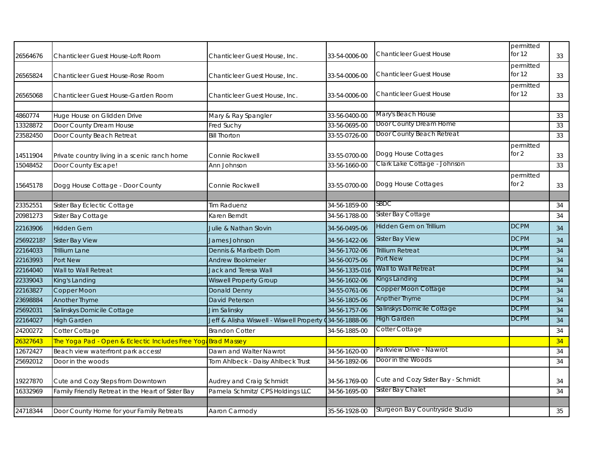| 26564676  | Chanticleer Guest House-Loft Room                             | Chanticleer Guest House, Inc.                           | 33-54-0006-00  | <b>Chanticleer Guest House</b>     | permitted<br>for $12$ | 33 |
|-----------|---------------------------------------------------------------|---------------------------------------------------------|----------------|------------------------------------|-----------------------|----|
| 26565824  | Chanticleer Guest House-Rose Room                             | Chanticleer Guest House, Inc.                           | 33-54-0006-00  | <b>Chanticleer Guest House</b>     | permitted<br>for $12$ | 33 |
| 26565068  | Chanticleer Guest House-Garden Room                           | Chanticleer Guest House, Inc.                           | 33-54-0006-00  | <b>Chanticleer Guest House</b>     | permitted<br>for 12   | 33 |
| 4860774   | Huge House on Glidden Drive                                   | Mary & Ray Spangler                                     | 33-56-0400-00  | Mary's Beach House                 |                       | 33 |
| 13328872  | Door County Dream House                                       | Fred Suchy                                              | 33-56-0695-00  | Door County Dream Home             |                       | 33 |
| 23582450  | Door County Beach Retreat                                     | <b>Bill Thorton</b>                                     | 33-55-0726-00  | Door County Beach Retreat          |                       | 33 |
|           |                                                               |                                                         |                |                                    | permitted             |    |
| 14511904  | Private country living in a scenic ranch home                 | Connie Rockwell                                         | 33-55-0700-00  | Dogg House Cottages                | for $2$               | 33 |
| 15048452  | Door County Escape!                                           | Ann Johnson                                             | 33-56-1660-00  | Clark Lake Cottage - Johnson       |                       | 33 |
| 15645178  | Dogg House Cottage - Door County                              | Connie Rockwell                                         | 33-55-0700-00  | Dogg House Cottages                | permitted<br>for $2$  | 33 |
|           |                                                               |                                                         |                |                                    |                       |    |
| 23352551  | Sister Bay Eclectic Cottage                                   | <b>Tim Raduenz</b>                                      | 34-56-1859-00  | SBDC                               |                       | 34 |
| 20981273  | Sister Bay Cottage                                            | Karen Berndt                                            | 34-56-1788-00  | Sister Bay Cottage                 |                       | 34 |
| 22163906  | <b>Hidden Gem</b>                                             | Julie & Nathan Slovin                                   | 34-56-0495-06  | Hidden Gem on Trillium             | <b>DCPM</b>           | 34 |
| 25692218? | Sister Bay View                                               | James Johnson                                           | 34-56-1422-06  | <b>Sister Bay View</b>             | <b>DCPM</b>           | 34 |
| 22164033  | <b>Trillium Lane</b>                                          | Dennis & Maribeth Dorn                                  | 34-56-1702-06  | <b>Trillium Retreat</b>            | <b>DCPM</b>           | 34 |
| 22163993  | Port New                                                      | <b>Andrew Bookmeier</b>                                 | 34-56-0075-06  | Port New                           | <b>DCPM</b>           | 34 |
| 22164040  | Wall to Wall Retreat                                          | Jack and Teresa Wall                                    | 34-56-1335-016 | Wall to Wall Retreat               | <b>DCPM</b>           | 34 |
| 22339043  | King's Landing                                                | <b>Wiswell Property Group</b>                           | 34-56-1602-06  | Kings Landing                      | <b>DCPM</b>           | 34 |
| 22163827  | Copper Moon                                                   | Donald Denny                                            | 34-55-0761-06  | Copper Moon Cottage                | <b>DCPM</b>           | 34 |
| 23698884  | Another Thyme                                                 | David Peterson                                          | 34-56-1805-06  | <b>Anpther Thyme</b>               | <b>DCPM</b>           | 34 |
| 25692031  | Salinskys Domicile Cottage                                    | Jim Salinsky                                            | 34-56-1757-06  | Salinskys Domicile Cottage         | <b>DCPM</b>           | 34 |
| 22164027  | <b>High Garden</b>                                            | Jeff & Alisha Wiswell - Wiswell Property (34-56-1888-06 |                | <b>High Garden</b>                 | <b>DCPM</b>           | 34 |
| 24200272  | Cotter Cottage                                                | <b>Brandon Cotter</b>                                   | 34-56-1885-00  | Cotter Cottage                     |                       | 34 |
| 26327643  | The Yoga Pad - Open & Eclectic Includes Free Yoga Brad Massey |                                                         |                |                                    |                       | 34 |
| 12672427  | Beach view waterfront park access!                            | Dawn and Walter Nawrot                                  | 34-56-1620-00  | Parkview Drive - Nawrot            |                       | 34 |
| 25692012  | Door in the woods                                             | Tom Ahlbeck - Daisy Ahlbeck Trust                       | 34-56-1892-06  | Door in the Woods                  |                       | 34 |
| 19227870  | Cute and Cozy Steps from Downtown                             | Audrey and Craig Schmidt                                | 34-56-1769-00  | Cute and Cozy Sister Bay - Schmidt |                       | 34 |
| 16332969  | Family Friendly Retreat in the Heart of Sister Bay            | Pamela Schmitz/ CPS Holdings LLC                        | 34-56-1695-00  | Sister Bay Chalet                  |                       | 34 |
|           |                                                               |                                                         |                |                                    |                       |    |
| 24718344  | Door County Home for your Family Retreats                     | Aaron Carmody                                           | 35-56-1928-00  | Sturgeon Bay Countryside Studio    |                       | 35 |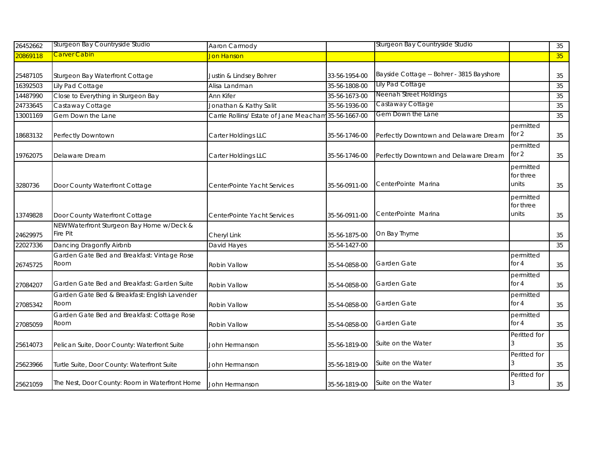| 26452662 | Sturgeon Bay Countryside Studio                       | Aaron Carmody                                        |               | Sturgeon Bay Countryside Studio           |                                 | 35              |
|----------|-------------------------------------------------------|------------------------------------------------------|---------------|-------------------------------------------|---------------------------------|-----------------|
| 20869118 | <u>Carver Cabin</u>                                   | Jon Hanson                                           |               |                                           |                                 | 35 <sup>°</sup> |
|          |                                                       |                                                      |               |                                           |                                 |                 |
| 25487105 | Sturgeon Bay Waterfront Cottage                       | Justin & Lindsey Bohrer                              | 33-56-1954-00 | Bayside Cottage -- Bohrer - 3815 Bayshore |                                 | 35              |
| 16392503 | Lily Pad Cottage                                      | Alisa Landman                                        | 35-56-1808-00 | Lily Pad Cottage                          |                                 | 35              |
| 14487990 | Close to Everything in Sturgeon Bay                   | Ann Kifer                                            | 35-56-1673-00 | Neenah Street Holdings                    |                                 | 35              |
| 24733645 | Castaway Cottage                                      | Jonathan & Kathy Salit                               | 35-56-1936-00 | Castaway Cottage                          |                                 | 35              |
| 13001169 | Gem Down the Lane                                     | Carrie Rollins/ Estate of Jane Meacham 35-56-1667-00 |               | Gem Down the Lane                         |                                 | 35              |
| 18683132 | Perfectly Downtown                                    | Carter Holdings LLC                                  | 35-56-1746-00 | Perfectly Downtown and Delaware Dream     | permitted<br>for 2              | 35              |
| 19762075 | Delaware Dream                                        | Carter Holdings LLC                                  | 35-56-1746-00 | Perfectly Downtown and Delaware Dream     | permitted<br>for $2$            | 35              |
| 3280736  | Door County Waterfront Cottage                        | CenterPointe Yacht Services                          | 35-56-0911-00 | CenterPointe Marina                       | permitted<br>for three<br>units | 35              |
| 13749828 | Door County Waterfront Cottage                        | CenterPointe Yacht Services                          | 35-56-0911-00 | CenterPointe Marina                       | permitted<br>for three<br>units | 35              |
| 24629975 | NEW!Waterfront Sturgeon Bay Home w/Deck &<br>Fire Pit | Cheryl Link                                          | 35-56-1875-00 | On Bay Thyme                              |                                 | 35              |
| 22027336 | Dancing Dragonfly Airbnb                              | David Hayes                                          | 35-54-1427-00 |                                           |                                 | 35              |
| 26745725 | Garden Gate Bed and Breakfast: Vintage Rose<br>Room   | Robin Vallow                                         | 35-54-0858-00 | Garden Gate                               | permitted<br>for $4$            | 35              |
| 27084207 | Garden Gate Bed and Breakfast: Garden Suite           | Robin Vallow                                         | 35-54-0858-00 | Garden Gate                               | permitted<br>for $4$            | 35              |
| 27085342 | Garden Gate Bed & Breakfast: English Lavender<br>Room | Robin Vallow                                         | 35-54-0858-00 | Garden Gate                               | permitted<br>for $4$            | 35              |
| 27085059 | Garden Gate Bed and Breakfast: Cottage Rose<br>Room   | Robin Vallow                                         | 35-54-0858-00 | Garden Gate                               | permitted<br>for $4$            | 35              |
| 25614073 | Pelican Suite, Door County: Waterfront Suite          | John Hermanson                                       | 35-56-1819-00 | Suite on the Water                        | Peritted for                    | 35              |
| 25623966 | Turtle Suite, Door County: Waterfront Suite           | John Hermanson                                       | 35-56-1819-00 | Suite on the Water                        | Peritted for                    | 35              |
| 25621059 | The Nest, Door County: Room in Waterfront Home        | John Hermanson                                       | 35-56-1819-00 | Suite on the Water                        | Peritted for                    | 35              |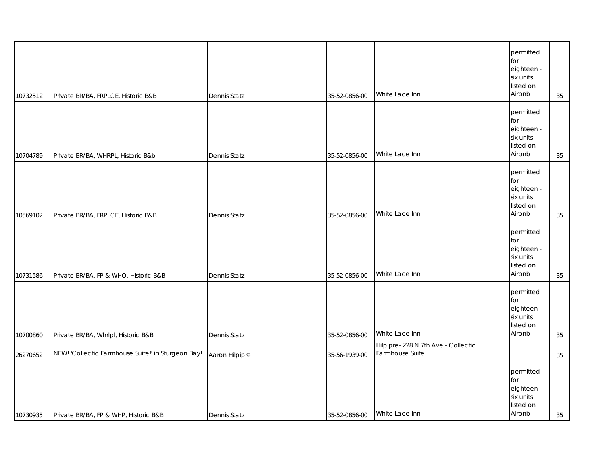| 10732512 | Private BR/BA, FRPLCE, Historic B&B                | Dennis Statz        | 35-52-0856-00 | White Lace Inn                                         | permitted<br>for<br>eighteen -<br>six units<br>listed on<br>Airbnb | 35 |
|----------|----------------------------------------------------|---------------------|---------------|--------------------------------------------------------|--------------------------------------------------------------------|----|
| 10704789 | Private BR/BA, WHRPL, Historic B&b                 | <b>Dennis Statz</b> | 35-52-0856-00 | White Lace Inn                                         | permitted<br>for<br>eighteen -<br>six units<br>listed on<br>Airbnb | 35 |
| 10569102 | Private BR/BA, FRPLCE, Historic B&B                | <b>Dennis Statz</b> | 35-52-0856-00 | White Lace Inn                                         | permitted<br>for<br>eighteen -<br>six units<br>listed on<br>Airbnb | 35 |
| 10731586 | Private BR/BA, FP & WHO, Historic B&B              | Dennis Statz        | 35-52-0856-00 | White Lace Inn                                         | permitted<br>for<br>eighteen -<br>six units<br>listed on<br>Airbnb | 35 |
| 10700860 | Private BR/BA, Whrlpl, Historic B&B                | Dennis Statz        | 35-52-0856-00 | White Lace Inn                                         | permitted<br>for<br>eighteen -<br>six units<br>listed on<br>Airbnb | 35 |
| 26270652 | NEW! 'Collectic Farmhouse Suite!' in Sturgeon Bay! | Aaron Hilpipre      | 35-56-1939-00 | Hilpipre- 228 N 7th Ave - Collectic<br>Farmhouse Suite |                                                                    | 35 |
| 10730935 | Private BR/BA, FP & WHP, Historic B&B              | <b>Dennis Statz</b> | 35-52-0856-00 | White Lace Inn                                         | permitted<br>for<br>eighteen -<br>six units<br>listed on<br>Airbnb | 35 |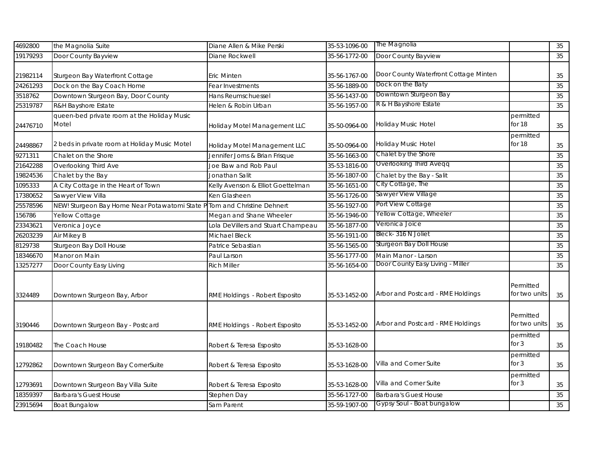| 4692800  | the Magnolia Suite                                   | Diane Allen & Mike Perski          | 35-53-1096-00 | The Magnolia                          |                            | 35     |
|----------|------------------------------------------------------|------------------------------------|---------------|---------------------------------------|----------------------------|--------|
| 19179293 | Door County Bayview                                  | Diane Rockwell                     | 35-56-1772-00 | Door County Bayview                   |                            | 35     |
| 21982114 | Sturgeon Bay Waterfront Cottage                      | Eric Minten                        | 35-56-1767-00 | Door County Waterfront Cottage Minten |                            | 35     |
| 24261293 | Dock on the Bay Coach Home                           | Fear Investments                   | 35-56-1889-00 | Dock on the Baty                      |                            | 35     |
| 3518762  | Downtown Sturgeon Bay, Door County                   | Hans Reumschuessel                 | 35-56-1437-00 | Downtown Sturgeon Bay                 |                            | 35     |
| 25319787 | <b>R&amp;H Bayshore Estate</b>                       | Helen & Robin Urban                | 35-56-1957-00 | R & H Bayshore Estate                 |                            | 35     |
| 24476710 | queen-bed private room at the Holiday Music<br>Motel | Holiday Motel Management LLC       | 35-50-0964-00 | <b>Holiday Music Hotel</b>            | permitted<br>for 18        | $35\,$ |
| 24498867 | 2 beds in private room at Holiday Music Motel        | Holiday Motel Management LLC       | 35-50-0964-00 | Holiday Music Hotel                   | permitted<br>for 18        | $35\,$ |
| 9271311  | Chalet on the Shore                                  | Jennifer Jorns & Brian Frisque     | 35-56-1663-00 | Chalet by the Shore                   |                            | 35     |
| 21642288 | Overlooking Third Ave                                | Joe Baw and Rob Paul               | 35-53-1816-00 | Overlooking Third Aveqq               |                            | 35     |
| 19824536 | Chalet by the Bay                                    | Jonathan Salit                     | 35-56-1807-00 | Chalet by the Bay - Salit             |                            | 35     |
| 1095333  | A City Cottage in the Heart of Town                  | Kelly Avenson & Elliot Goettelman  | 35-56-1651-00 | City Cottage, The                     |                            | 35     |
| 17380652 | Sawyer View Villa                                    | Ken Glasheen                       | 35-56-1726-00 | Sawyer View Village                   |                            | 35     |
| 25578596 | NEW! Sturgeon Bay Home Near Potawatomi State         | P Tom and Christine Dehnert        | 35-56-1927-00 | Port View Cottage                     |                            | 35     |
| 156786   | Yellow Cottage                                       | Megan and Shane Wheeler            | 35-56-1946-00 | Yellow Cottage, Wheeler               |                            | 35     |
| 23343621 | Veronica Joyce                                       | Lola DeVillers and Stuart Champeau | 35-56-1877-00 | Veronica Joice                        |                            | 35     |
| 26203239 | Air Mikey B                                          | Michael Bleck                      | 35-56-1911-00 | Bleck-316 N Joliet                    |                            | $35\,$ |
| 8129738  | Sturgeon Bay Doll House                              | Patrice Sebastian                  | 35-56-1565-00 | Sturgeon Bay Doll House               |                            | 35     |
| 18346670 | Manor on Main                                        | Paul Larson                        | 35-56-1777-00 | Main Manor - Larson                   |                            | 35     |
| 13257277 | Door County Easy Living                              | <b>Rich Miller</b>                 | 35-56-1654-00 | Door County Easy Living - Miller      |                            | 35     |
| 3324489  | Downtown Sturgeon Bay, Arbor                         | RME Holdings - Robert Esposito     | 35-53-1452-00 | Arbor and Postcard - RME Holdings     | Permitted<br>for two units | 35     |
| 3190446  | Downtown Sturgeon Bay - Postcard                     | RME Holdings - Robert Esposito     | 35-53-1452-00 | Arbor and Postcard - RME Holdings     | Permitted<br>for two units | 35     |
| 19180482 | The Coach House                                      | Robert & Teresa Esposito           | 35-53-1628-00 |                                       | permitted<br>for $3$       | 35     |
| 12792862 | Downtown Sturgeon Bay CornerSuite                    | Robert & Teresa Esposito           | 35-53-1628-00 | Villa and Corner Suite                | permitted<br>for $3$       | 35     |
| 12793691 | Downtown Sturgeon Bay Villa Suite                    | Robert & Teresa Esposito           | 35-53-1628-00 | Villa and Corner Suite                | permitted<br>for $3$       | 35     |
| 18359397 | <b>Barbara's Guest House</b>                         | Stephen Day                        | 35-56-1727-00 | <b>Barbara's Guest House</b>          |                            | $35\,$ |
| 23915694 | <b>Boat Bungalow</b>                                 | Sam Parent                         | 35-59-1907-00 | Gypsy Soul - Boat bungalow            |                            | 35     |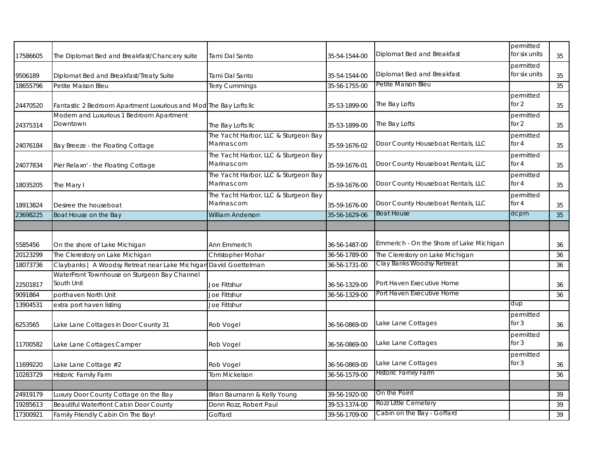| 17586605             | The Diplomat Bed and Breakfast/Chancery suite                               | Tami Dal Santo                                      | 35-54-1544-00                  | Diplomat Bed and Breakfast                         | permitted<br>for six units | 35       |
|----------------------|-----------------------------------------------------------------------------|-----------------------------------------------------|--------------------------------|----------------------------------------------------|----------------------------|----------|
| 9506189              | Diplomat Bed and Breakfast/Treaty Suite                                     | Tami Dal Santo                                      | 35-54-1544-00                  | Diplomat Bed and Breakfast                         | permitted<br>for six units | 35       |
| 18655796             | Petite Maison Bleu                                                          | Terry Cummings                                      | 35-56-1755-00                  | Petite Maison Bleu                                 |                            | 35       |
| 24470520             | Fantastic 2 Bedroom Apartment Luxurious and Mod The Bay Lofts IIc           |                                                     | 35-53-1899-00                  | The Bay Lofts                                      | permitted<br>for $2$       | 35       |
| 24375314             | Modern and Luxurious 1 Bedroom Apartment<br>Downtown                        | The Bay Lofts IIc                                   | 35-53-1899-00                  | The Bay Lofts                                      | permitted<br>for $2$       | 35       |
| 24076184             | Bay Breeze - the Floating Cottage                                           | The Yacht Harbor, LLC & Sturgeon Bay<br>Marinas.com | 35-59-1676-02                  | Door County Houseboat Rentals, LLC                 | permitted<br>for $4$       | 35       |
| 24077834             | Pier Relaxn' - the Floating Cottage                                         | The Yacht Harbor, LLC & Sturgeon Bay<br>Marinas.com | 35-59-1676-01                  | Door County Houseboat Rentals, LLC                 | permitted<br>for $4$       | 35       |
| 18035205             | The Mary I                                                                  | The Yacht Harbor, LLC & Sturgeon Bay<br>Marinas.com | 35-59-1676-00                  | Door County Houseboat Rentals, LLC                 | permitted<br>for $4$       | 35       |
| 18913824             | Desiree the houseboat                                                       | The Yacht Harbor, LLC & Sturgeon Bay<br>Marinas.com | 35-59-1676-00                  | Door County Houseboat Rentals, LLC                 | permitted<br>for $4$       | 35       |
| 23698225             | Boat House on the Bay                                                       | <b>William Anderson</b>                             | 35-56-1629-06                  | <b>Boat House</b>                                  | dcpm                       | 35       |
|                      |                                                                             |                                                     |                                |                                                    |                            |          |
|                      |                                                                             |                                                     |                                |                                                    |                            |          |
| 5585456              | On the shore of Lake Michigan                                               | Ann Emmerich                                        | 36-56-1487-00                  | Emmerich - On the Shore of Lake Michigan           |                            | 36       |
| 20123299             | The Clerestory on Lake Michigan                                             | Christopher Mohar                                   | 36-56-1789-00                  | The Clerestory on Lake Michigan                    |                            | 36       |
| 18073736             | Claybanks   A Woodsy Retreat near Lake Michigan                             | David Goettelman                                    | 36-56-1731-00                  | Clay Banks Woodsy Retreat                          |                            | 36       |
| 22501817             | WaterFront Townhouse on Sturgeon Bay Channel<br>South Unit                  | Joe Fittshur                                        | 36-56-1329-00                  | Port Haven Executive Home                          |                            | 36       |
| 9091864              | porthaven North Unit                                                        | Joe Fittshur                                        | 36-56-1329-00                  | Port Haven Executive Home                          |                            | 36       |
| 13904531             | extra port haven listing                                                    | Joe Fittshur                                        |                                |                                                    | dup                        |          |
| 6253565              | Lake Lane Cottages in Door County 31                                        | Rob Vogel                                           | 36-56-0869-00                  | Lake Lane Cottages                                 | permitted<br>for $3$       | 36       |
| 11700582             | Lake Lane Cottages Camper                                                   | Rob Vogel                                           | 36-56-0869-00                  | Lake Lane Cottages                                 | permitted<br>for $3$       | 36       |
| 11699220             | Lake Lane Cottage #2                                                        | Rob Vogel                                           | 36-56-0869-00                  | Lake Lane Cottages                                 | permitted<br>for $3$       | 36       |
| 10283729             | <b>Historic Family Farm</b>                                                 | <b>Tom Mickelson</b>                                | 36-56-1579-00                  | <b>Historic Family Farm</b>                        |                            | 36       |
|                      |                                                                             |                                                     |                                |                                                    |                            |          |
| 24919179             | Luxury Door County Cottage on the Bay                                       | Brian Baumann & Kelly Young                         | 39-56-1920-00                  | On the Point                                       |                            | 39       |
| 19285613<br>17300921 | Beautiful Waterfront Cabin Door County<br>Family Friendly Cabin On The Bay! | Donn Rozz, Robert Paul<br>Goffard                   | 39-53-1374-00<br>39-56-1709-00 | Rozz Little Cemetery<br>Cabin on the Bay - Goffard |                            | 39<br>39 |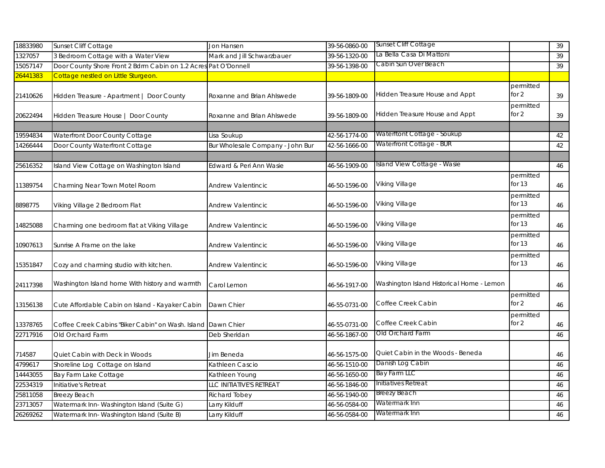| 18833980 | Sunset Cliff Cottage                                            | Jon Hansen                       | 39-56-0860-00 | Sunset Cliff Cottage                      |                       | 39     |
|----------|-----------------------------------------------------------------|----------------------------------|---------------|-------------------------------------------|-----------------------|--------|
| 1327057  | 3 Bedroom Cottage with a Water View                             | Mark and Jill Schwarzbauer       | 39-56-1320-00 | La Bella Casa Di Mattoni                  |                       | 39     |
| 15057147 | Door County Shore Front 2 Bdrm Cabin on 1.2 Acres Pat O'Donnell |                                  | 39-56-1398-00 | Cabin Sun Over Beach                      |                       | 39     |
| 26441383 | Cottage nestled on Little Sturgeon.                             |                                  |               |                                           |                       |        |
| 21410626 | Hidden Treasure - Apartment   Door County                       | Roxanne and Brian Ahlswede       | 39-56-1809-00 | Hidden Treasure House and Appt            | permitted<br>for $2$  | 39     |
| 20622494 | Hidden Treasure House   Door County                             | Roxanne and Brian Ahlswede       | 39-56-1809-00 | Hidden Treasure House and Appt            | permitted<br>for $2$  | 39     |
| 19594834 | Waterfront Door County Cottage                                  | Lisa Soukup                      | 42-56-1774-00 | Waterftont Cottage - Soukup               |                       | 42     |
| 14266444 | Door County Waterfront Cottage                                  | Bur Wholesale Company - John Bur | 42-56-1666-00 | Waterfront Cottage - BUR                  |                       | 42     |
| 25616352 | Island View Cottage on Washington Island                        | Edward & Peri Ann Wasie          | 46-56-1909-00 | Island View Cottage - Wasie               |                       | 46     |
| 11389754 | Charming Near Town Motel Room                                   | <b>Andrew Valentincic</b>        | 46-50-1596-00 | Viking Village                            | permitted<br>for $13$ | 46     |
| 8898775  | Viking Village 2 Bedroom Flat                                   | Andrew Valentincic               | 46-50-1596-00 | Viking Village                            | permitted<br>for $13$ | 46     |
| 14825088 | Charming one bedroom flat at Viking Village                     | Andrew Valentincic               | 46-50-1596-00 | Viking Village                            | permitted<br>for $13$ | 46     |
| 10907613 | Sunrise A Frame on the lake                                     | <b>Andrew Valentincic</b>        | 46-50-1596-00 | Viking Village                            | permitted<br>for 13   | 46     |
| 15351847 | Cozy and charming studio with kitchen.                          | Andrew Valentincic               | 46-50-1596-00 | Viking Village                            | permitted<br>for 13   | 46     |
| 24117398 | Washington Island home With history and warmth                  | Carol Lemon                      | 46-56-1917-00 | Washington Island Historical Home - Lemon |                       | 46     |
| 13156138 | Cute Affordable Cabin on Island - Kayaker Cabin                 | Dawn Chier                       | 46-55-0731-00 | Coffee Creek Cabin                        | permitted<br>for $2$  | 46     |
| 13378765 | Coffee Creek Cabins "Biker Cabin" on Wash. Island Dawn Chier    |                                  | 46-55-0731-00 | Coffee Creek Cabin                        | permitted<br>for 2    | 46     |
| 22717916 | Old Orchard Farm                                                | Deb Sheridan                     | 46-56-1867-00 | Old Orchard Farm                          |                       | $46\,$ |
| 714587   | Quiet Cabin with Deck in Woods                                  | Jim Beneda                       | 46-56-1575-00 | Quiet Cabin in the Woods - Beneda         |                       | 46     |
| 4799617  | Shoreline Log Cottage on Island                                 | Kathleen Cascio                  | 46-56-1510-00 | Danish Log Cabin                          |                       | 46     |
| 14443055 | Bay Farm Lake Cottage                                           | Kathleen Young                   | 46-56-1650-00 | Bay Farm LLC                              |                       | 46     |
| 22534319 | Initiative's Retreat                                            | LLC INITIATIVE'S RETREAT         | 46-56-1846-00 | Initiatives Retreat                       |                       | 46     |
| 25811058 | <b>Breezy Beach</b>                                             | Richard Tobey                    | 46-56-1940-00 | <b>Breezy Beach</b>                       |                       | 46     |
| 23713057 | Watermark Inn-Washington Island (Suite G)                       | Larry Kilduff                    | 46-56-0584-00 | Watermark Inn                             |                       | 46     |
| 26269262 | Watermark Inn-Washington Island (Suite B)                       | Larry Kilduff                    | 46-56-0584-00 | Watermark Inn                             |                       | 46     |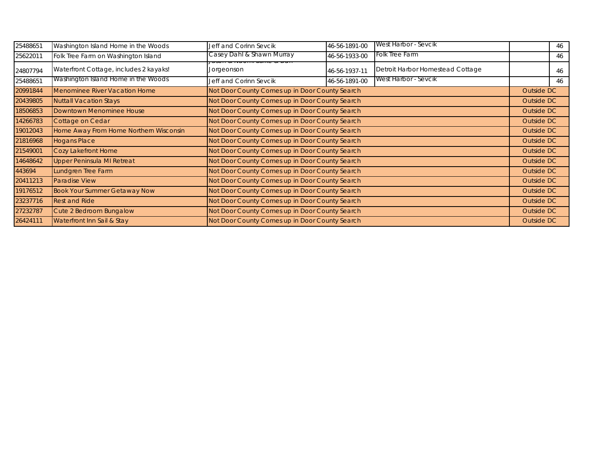| 25488651 | Washington Island Home in the Woods    | Jeff and Corinn Sevcik                         | 46-56-1891-00 | West Harbor - Sevcik             |            | 46 |
|----------|----------------------------------------|------------------------------------------------|---------------|----------------------------------|------------|----|
| 25622011 | Folk Tree Farm on Washington Island    | Casey Dahl & Shawn Murray                      | 46-56-1933-00 | Folk Tree Farm                   |            | 46 |
| 24807794 | Waterfront Cottage, includes 2 kayaks! | Jorgeonson                                     | 46-56-1937-11 | Detroit Harbor Homestead Cottage |            | 46 |
| 25488651 | Washington Island Home in the Woods    | Jeff and Corinn Sevcik                         | 46-56-1891-00 | West Harbor - Sevcik             |            | 46 |
| 20991844 | <b>Menominee River Vacation Home</b>   | Not Door County Comes up in Door County Search |               |                                  | Outside DC |    |
| 20439805 | <b>Nuttall Vacation Stays</b>          | Not Door County Comes up in Door County Search |               |                                  | Outside DC |    |
| 18506853 | Downtown Menominee House               | Not Door County Comes up in Door County Search |               |                                  | Outside DC |    |
| 14266783 | Cottage on Cedar                       | Not Door County Comes up in Door County Search |               |                                  | Outside DC |    |
| 19012043 | Home Away From Home Northern Wisconsin | Not Door County Comes up in Door County Search |               |                                  | Outside DC |    |
| 21816968 | <b>Hogans Place</b>                    | Not Door County Comes up in Door County Search |               |                                  | Outside DC |    |
| 21549001 | Cozy Lakefront Home                    | Not Door County Comes up in Door County Search |               |                                  | Outside DC |    |
| 14648642 | <b>Upper Peninsula MI Retreat</b>      | Not Door County Comes up in Door County Search |               |                                  | Outside DC |    |
| 443694   | Lundgren Tree Farm                     | Not Door County Comes up in Door County Search |               |                                  | Outside DC |    |
| 20411213 | <b>Paradise View</b>                   | Not Door County Comes up in Door County Search |               |                                  | Outside DC |    |
| 19176512 | <b>Book Your Summer Getaway Now</b>    | Not Door County Comes up in Door County Search |               |                                  | Outside DC |    |
| 23237716 | <b>Rest and Ride</b>                   | Not Door County Comes up in Door County Search |               |                                  | Outside DC |    |
| 27232787 | Cute 2 Bedroom Bungalow                | Not Door County Comes up in Door County Search |               |                                  | Outside DC |    |
| 26424111 | Waterfront Inn Sail & Stay             | Not Door County Comes up in Door County Search |               |                                  | Outside DC |    |